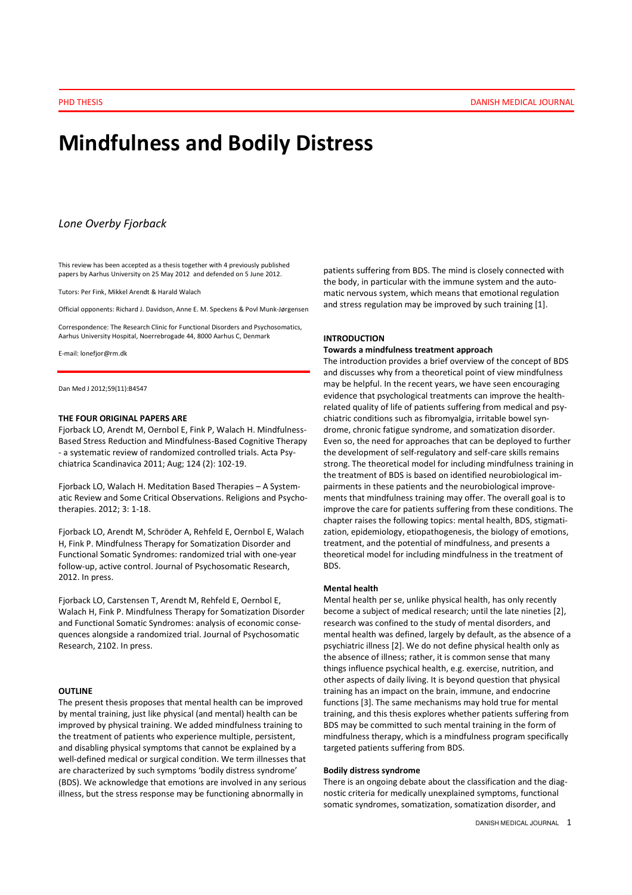# Mindfulness and Bodily Distress

# Lone Overby Fjorback

This review has been accepted as a thesis together with 4 previously published papers by Aarhus University on 25 May 2012 and defended on 5 June 2012.

Tutors: Per Fink, Mikkel Arendt & Harald Walach

Official opponents: Richard J. Davidson, Anne E. M. Speckens & Povl Munk-Jørgensen

Correspondence: The Research Clinic for Functional Disorders and Psychosomatics, Aarhus University Hospital, Noerrebrogade 44, 8000 Aarhus C, Denmark

E-mail: lonefjor@rm.dk

Dan Med J 2012;59(11):B4547

# THE FOUR ORIGINAL PAPERS ARE

Fjorback LO, Arendt M, Oernbol E, Fink P, Walach H. Mindfulness-Based Stress Reduction and Mindfulness-Based Cognitive Therapy - a systematic review of randomized controlled trials. Acta Psychiatrica Scandinavica 2011; Aug; 124 (2): 102-19.

Fiorback LO, Walach H. Meditation Based Therapies - A Systematic Review and Some Critical Observations. Religions and Psychotherapies. 2012; 3: 1-18.

Fjorback LO, Arendt M, Schröder A, Rehfeld E, Oernbol E, Walach H, Fink P. Mindfulness Therapy for Somatization Disorder and Functional Somatic Syndromes: randomized trial with one-year follow-up, active control. Journal of Psychosomatic Research, 2012. In press.

Fjorback LO, Carstensen T, Arendt M, Rehfeld E, Oernbol E, Walach H, Fink P. Mindfulness Therapy for Somatization Disorder and Functional Somatic Syndromes: analysis of economic consequences alongside a randomized trial. Journal of Psychosomatic Research, 2102. In press.

#### **OUTLINE**

The present thesis proposes that mental health can be improved by mental training, just like physical (and mental) health can be improved by physical training. We added mindfulness training to the treatment of patients who experience multiple, persistent, and disabling physical symptoms that cannot be explained by a well-defined medical or surgical condition. We term illnesses that are characterized by such symptoms 'bodily distress syndrome' (BDS). We acknowledge that emotions are involved in any serious illness, but the stress response may be functioning abnormally in

patients suffering from BDS. The mind is closely connected with the body, in particular with the immune system and the automatic nervous system, which means that emotional regulation and stress regulation may be improved by such training [1].

## INTRODUCTION

# Towards a mindfulness treatment approach

The introduction provides a brief overview of the concept of BDS and discusses why from a theoretical point of view mindfulness may be helpful. In the recent years, we have seen encouraging evidence that psychological treatments can improve the healthrelated quality of life of patients suffering from medical and psychiatric conditions such as fibromyalgia, irritable bowel syndrome, chronic fatigue syndrome, and somatization disorder. Even so, the need for approaches that can be deployed to further the development of self-regulatory and self-care skills remains strong. The theoretical model for including mindfulness training in the treatment of BDS is based on identified neurobiological impairments in these patients and the neurobiological improvements that mindfulness training may offer. The overall goal is to improve the care for patients suffering from these conditions. The chapter raises the following topics: mental health, BDS, stigmatization, epidemiology, etiopathogenesis, the biology of emotions, treatment, and the potential of mindfulness, and presents a theoretical model for including mindfulness in the treatment of BDS.

#### Mental health

Mental health per se, unlike physical health, has only recently become a subject of medical research; until the late nineties [2], research was confined to the study of mental disorders, and mental health was defined, largely by default, as the absence of a psychiatric illness [2]. We do not define physical health only as the absence of illness; rather, it is common sense that many things influence psychical health, e.g. exercise, nutrition, and other aspects of daily living. It is beyond question that physical training has an impact on the brain, immune, and endocrine functions [3]. The same mechanisms may hold true for mental training, and this thesis explores whether patients suffering from BDS may be committed to such mental training in the form of mindfulness therapy, which is a mindfulness program specifically targeted patients suffering from BDS.

#### Bodily distress syndrome

There is an ongoing debate about the classification and the diagnostic criteria for medically unexplained symptoms, functional somatic syndromes, somatization, somatization disorder, and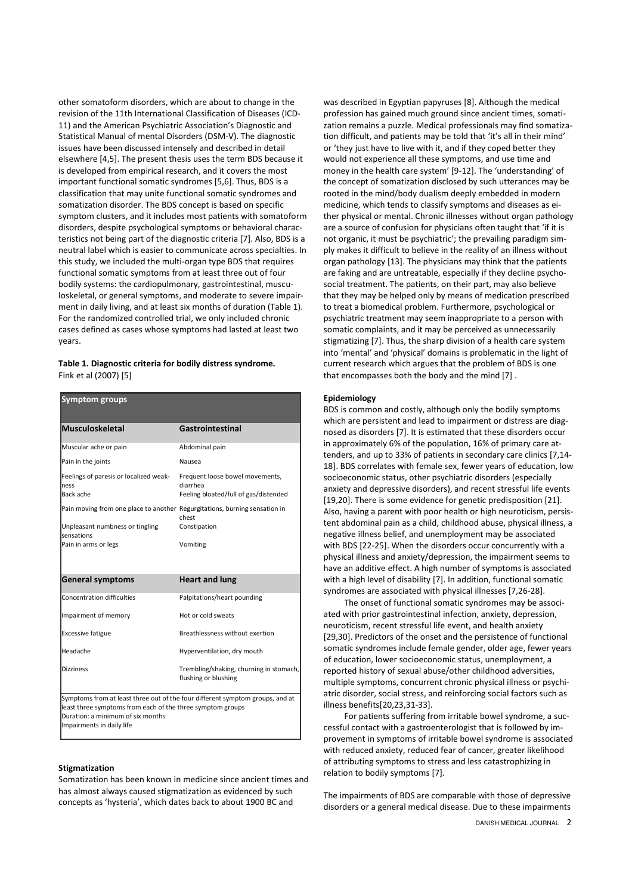other somatoform disorders, which are about to change in the revision of the 11th International Classification of Diseases (ICD-11) and the American Psychiatric Association's Diagnostic and Statistical Manual of mental Disorders (DSM-V). The diagnostic issues have been discussed intensely and described in detail elsewhere [4,5]. The present thesis uses the term BDS because it is developed from empirical research, and it covers the most important functional somatic syndromes [5,6]. Thus, BDS is a classification that may unite functional somatic syndromes and somatization disorder. The BDS concept is based on specific symptom clusters, and it includes most patients with somatoform disorders, despite psychological symptoms or behavioral characteristics not being part of the diagnostic criteria [7]. Also, BDS is a neutral label which is easier to communicate across specialties. In this study, we included the multi-organ type BDS that requires functional somatic symptoms from at least three out of four bodily systems: the cardiopulmonary, gastrointestinal, musculoskeletal, or general symptoms, and moderate to severe impairment in daily living, and at least six months of duration (Table 1). For the randomized controlled trial, we only included chronic cases defined as cases whose symptoms had lasted at least two years.

## Table 1. Diagnostic criteria for bodily distress syndrome. Fink et al (2007) [5]

## Symptom groups

| <b>Musculoskeletal</b>                                                     | Gastrointestinal                                                                     |
|----------------------------------------------------------------------------|--------------------------------------------------------------------------------------|
| Muscular ache or pain                                                      | Abdominal pain                                                                       |
| Pain in the joints                                                         | Nausea                                                                               |
| Feelings of paresis or localized weak-<br>ness<br>Back ache                | Frequent loose bowel movements,<br>diarrhea<br>Feeling bloated/full of gas/distended |
| Pain moving from one place to another Regurgitations, burning sensation in | chest                                                                                |
| Unpleasant numbness or tingling<br>sensations                              | Constipation                                                                         |
| Pain in arms or legs                                                       | Vomiting                                                                             |
| <b>General symptoms</b>                                                    | <b>Heart and lung</b>                                                                |
| <b>Concentration difficulties</b>                                          | Palpitations/heart pounding                                                          |
| Impairment of memory                                                       | Hot or cold sweats                                                                   |
| <b>Excessive fatigue</b>                                                   | Breathlessness without exertion                                                      |
| Headache                                                                   | Hyperventilation, dry mouth                                                          |
| <b>Dizziness</b>                                                           | Trembling/shaking, churning in stomach,<br>flushing or blushing                      |

least three symptoms from each of the three symptom groups Duration: a minimum of six months Impairments in daily life

#### Stigmatization

Somatization has been known in medicine since ancient times and has almost always caused stigmatization as evidenced by such concepts as 'hysteria', which dates back to about 1900 BC and

was described in Egyptian papyruses [8]. Although the medical profession has gained much ground since ancient times, somatization remains a puzzle. Medical professionals may find somatization difficult, and patients may be told that 'it's all in their mind' or 'they just have to live with it, and if they coped better they would not experience all these symptoms, and use time and money in the health care system' [9-12]. The 'understanding' of the concept of somatization disclosed by such utterances may be rooted in the mind/body dualism deeply embedded in modern medicine, which tends to classify symptoms and diseases as either physical or mental. Chronic illnesses without organ pathology are a source of confusion for physicians often taught that 'if it is not organic, it must be psychiatric'; the prevailing paradigm simply makes it difficult to believe in the reality of an illness without organ pathology [13]. The physicians may think that the patients are faking and are untreatable, especially if they decline psychosocial treatment. The patients, on their part, may also believe that they may be helped only by means of medication prescribed to treat a biomedical problem. Furthermore, psychological or psychiatric treatment may seem inappropriate to a person with somatic complaints, and it may be perceived as unnecessarily stigmatizing [7]. Thus, the sharp division of a health care system into 'mental' and 'physical' domains is problematic in the light of current research which argues that the problem of BDS is one that encompasses both the body and the mind [7] .

#### Epidemiology

BDS is common and costly, although only the bodily symptoms which are persistent and lead to impairment or distress are diagnosed as disorders [7]. It is estimated that these disorders occur in approximately 6% of the population, 16% of primary care attenders, and up to 33% of patients in secondary care clinics [7,14- 18]. BDS correlates with female sex, fewer years of education, low socioeconomic status, other psychiatric disorders (especially anxiety and depressive disorders), and recent stressful life events [19,20]. There is some evidence for genetic predisposition [21]. Also, having a parent with poor health or high neuroticism, persistent abdominal pain as a child, childhood abuse, physical illness, a negative illness belief, and unemployment may be associated with BDS [22-25]. When the disorders occur concurrently with a physical illness and anxiety/depression, the impairment seems to have an additive effect. A high number of symptoms is associated with a high level of disability [7]. In addition, functional somatic syndromes are associated with physical illnesses [7,26-28].

The onset of functional somatic syndromes may be associated with prior gastrointestinal infection, anxiety, depression, neuroticism, recent stressful life event, and health anxiety [29,30]. Predictors of the onset and the persistence of functional somatic syndromes include female gender, older age, fewer years of education, lower socioeconomic status, unemployment, a reported history of sexual abuse/other childhood adversities, multiple symptoms, concurrent chronic physical illness or psychiatric disorder, social stress, and reinforcing social factors such as illness benefits[20,23,31-33].

For patients suffering from irritable bowel syndrome, a successful contact with a gastroenterologist that is followed by improvement in symptoms of irritable bowel syndrome is associated with reduced anxiety, reduced fear of cancer, greater likelihood of attributing symptoms to stress and less catastrophizing in relation to bodily symptoms [7].

The impairments of BDS are comparable with those of depressive disorders or a general medical disease. Due to these impairments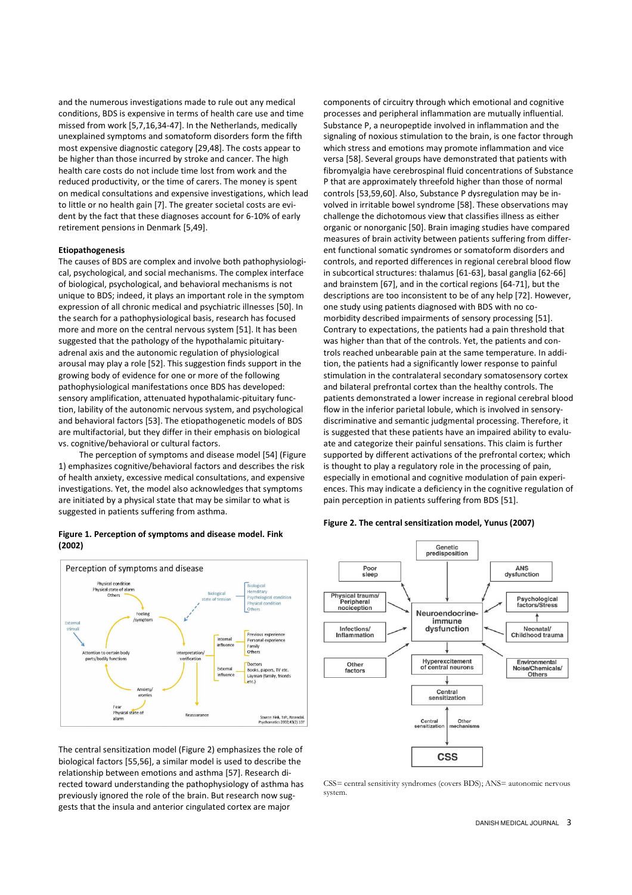and the numerous investigations made to rule out any medical conditions, BDS is expensive in terms of health care use and time missed from work [5,7,16,34-47]. In the Netherlands, medically unexplained symptoms and somatoform disorders form the fifth most expensive diagnostic category [29,48]. The costs appear to be higher than those incurred by stroke and cancer. The high health care costs do not include time lost from work and the reduced productivity, or the time of carers. The money is spent on medical consultations and expensive investigations, which lead to little or no health gain [7]. The greater societal costs are evident by the fact that these diagnoses account for 6-10% of early retirement pensions in Denmark [5,49].

# Etiopathogenesis

The causes of BDS are complex and involve both pathophysiological, psychological, and social mechanisms. The complex interface of biological, psychological, and behavioral mechanisms is not unique to BDS; indeed, it plays an important role in the symptom expression of all chronic medical and psychiatric illnesses [50]. In the search for a pathophysiological basis, research has focused more and more on the central nervous system [51]. It has been suggested that the pathology of the hypothalamic pituitaryadrenal axis and the autonomic regulation of physiological arousal may play a role [52]. This suggestion finds support in the growing body of evidence for one or more of the following pathophysiological manifestations once BDS has developed: sensory amplification, attenuated hypothalamic-pituitary function, lability of the autonomic nervous system, and psychological and behavioral factors [53]. The etiopathogenetic models of BDS are multifactorial, but they differ in their emphasis on biological vs. cognitive/behavioral or cultural factors.

The perception of symptoms and disease model [54] (Figure 1) emphasizes cognitive/behavioral factors and describes the risk of health anxiety, excessive medical consultations, and expensive investigations. Yet, the model also acknowledges that symptoms are initiated by a physical state that may be similar to what is suggested in patients suffering from asthma.

## Figure 1. Perception of symptoms and disease model. Fink (2002)



The central sensitization model (Figure 2) emphasizes the role of biological factors [55,56], a similar model is used to describe the relationship between emotions and asthma [57]. Research directed toward understanding the pathophysiology of asthma has previously ignored the role of the brain. But research now suggests that the insula and anterior cingulated cortex are major

components of circuitry through which emotional and cognitive processes and peripheral inflammation are mutually influential. Substance P, a neuropeptide involved in inflammation and the signaling of noxious stimulation to the brain, is one factor through which stress and emotions may promote inflammation and vice versa [58]. Several groups have demonstrated that patients with fibromyalgia have cerebrospinal fluid concentrations of Substance P that are approximately threefold higher than those of normal controls [53,59,60]. Also, Substance P dysregulation may be involved in irritable bowel syndrome [58]. These observations may challenge the dichotomous view that classifies illness as either organic or nonorganic [50]. Brain imaging studies have compared measures of brain activity between patients suffering from different functional somatic syndromes or somatoform disorders and controls, and reported differences in regional cerebral blood flow in subcortical structures: thalamus [61-63], basal ganglia [62-66] and brainstem [67], and in the cortical regions [64-71], but the descriptions are too inconsistent to be of any help [72]. However, one study using patients diagnosed with BDS with no comorbidity described impairments of sensory processing [51]. Contrary to expectations, the patients had a pain threshold that was higher than that of the controls. Yet, the patients and controls reached unbearable pain at the same temperature. In addition, the patients had a significantly lower response to painful stimulation in the contralateral secondary somatosensory cortex and bilateral prefrontal cortex than the healthy controls. The patients demonstrated a lower increase in regional cerebral blood flow in the inferior parietal lobule, which is involved in sensorydiscriminative and semantic judgmental processing. Therefore, it is suggested that these patients have an impaired ability to evaluate and categorize their painful sensations. This claim is further supported by different activations of the prefrontal cortex; which is thought to play a regulatory role in the processing of pain, especially in emotional and cognitive modulation of pain experiences. This may indicate a deficiency in the cognitive regulation of pain perception in patients suffering from BDS [51].

## Figure 2. The central sensitization model, Yunus (2007)



CSS= central sensitivity syndromes (covers BDS); ANS= autonomic nervous system.

#### DANISH MEDICAL JOURNAL 3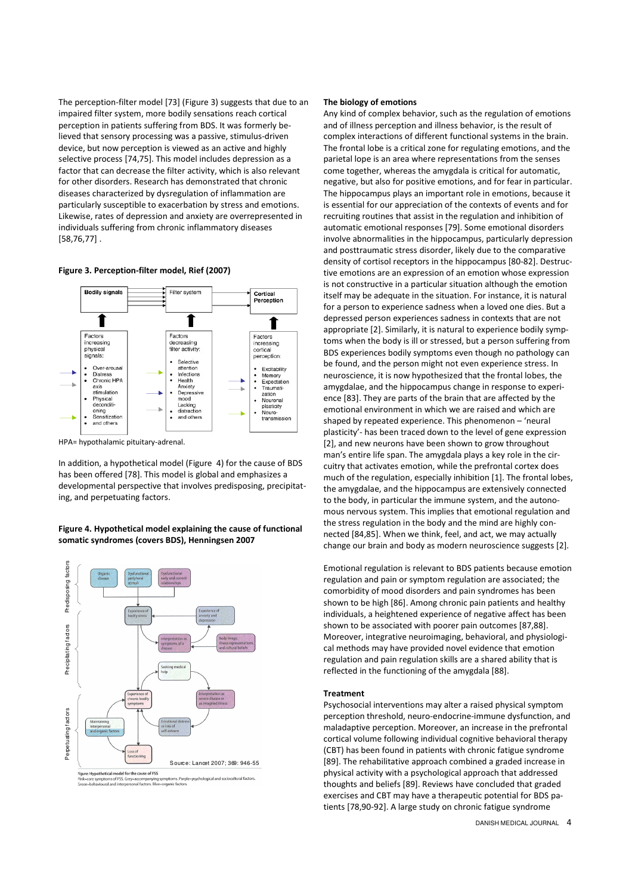The perception-filter model [73] (Figure 3) suggests that due to an impaired filter system, more bodily sensations reach cortical perception in patients suffering from BDS. It was formerly believed that sensory processing was a passive, stimulus-driven device, but now perception is viewed as an active and highly selective process [74,75]. This model includes depression as a factor that can decrease the filter activity, which is also relevant for other disorders. Research has demonstrated that chronic diseases characterized by dysregulation of inflammation are particularly susceptible to exacerbation by stress and emotions. Likewise, rates of depression and anxiety are overrepresented in individuals suffering from chronic inflammatory diseases [58,76,77] .

#### Figure 3. Perception-filter model, Rief (2007)



HPA= hypothalamic pituitary-adrenal.

In addition, a hypothetical model (Figure 4) for the cause of BDS has been offered [78]. This model is global and emphasizes a developmental perspective that involves predisposing, precipitating, and perpetuating factors.

# Figure 4. Hypothetical model explaining the cause of functional somatic syndromes (covers BDS), Henningsen 2007



hological and sociocultural fact

# The biology of emotions

Any kind of complex behavior, such as the regulation of emotions and of illness perception and illness behavior, is the result of complex interactions of different functional systems in the brain. The frontal lobe is a critical zone for regulating emotions, and the parietal lope is an area where representations from the senses come together, whereas the amygdala is critical for automatic, negative, but also for positive emotions, and for fear in particular. The hippocampus plays an important role in emotions, because it is essential for our appreciation of the contexts of events and for recruiting routines that assist in the regulation and inhibition of automatic emotional responses [79]. Some emotional disorders involve abnormalities in the hippocampus, particularly depression and posttraumatic stress disorder, likely due to the comparative density of cortisol receptors in the hippocampus [80-82]. Destructive emotions are an expression of an emotion whose expression is not constructive in a particular situation although the emotion itself may be adequate in the situation. For instance, it is natural for a person to experience sadness when a loved one dies. But a depressed person experiences sadness in contexts that are not appropriate [2]. Similarly, it is natural to experience bodily symptoms when the body is ill or stressed, but a person suffering from BDS experiences bodily symptoms even though no pathology can be found, and the person might not even experience stress. In neuroscience, it is now hypothesized that the frontal lobes, the amygdalae, and the hippocampus change in response to experience [83]. They are parts of the brain that are affected by the emotional environment in which we are raised and which are shaped by repeated experience. This phenomenon – 'neural plasticity'- has been traced down to the level of gene expression [2], and new neurons have been shown to grow throughout man's entire life span. The amygdala plays a key role in the circuitry that activates emotion, while the prefrontal cortex does much of the regulation, especially inhibition [1]. The frontal lobes, the amygdalae, and the hippocampus are extensively connected to the body, in particular the immune system, and the autonomous nervous system. This implies that emotional regulation and the stress regulation in the body and the mind are highly connected [84,85]. When we think, feel, and act, we may actually change our brain and body as modern neuroscience suggests [2].

Emotional regulation is relevant to BDS patients because emotion regulation and pain or symptom regulation are associated; the comorbidity of mood disorders and pain syndromes has been shown to be high [86]. Among chronic pain patients and healthy individuals, a heightened experience of negative affect has been shown to be associated with poorer pain outcomes [87,88]. Moreover, integrative neuroimaging, behavioral, and physiological methods may have provided novel evidence that emotion regulation and pain regulation skills are a shared ability that is reflected in the functioning of the amygdala [88].

#### **Treatment**

Psychosocial interventions may alter a raised physical symptom perception threshold, neuro-endocrine-immune dysfunction, and maladaptive perception. Moreover, an increase in the prefrontal cortical volume following individual cognitive behavioral therapy (CBT) has been found in patients with chronic fatigue syndrome [89]. The rehabilitative approach combined a graded increase in physical activity with a psychological approach that addressed thoughts and beliefs [89]. Reviews have concluded that graded exercises and CBT may have a therapeutic potential for BDS patients [78,90-92]. A large study on chronic fatigue syndrome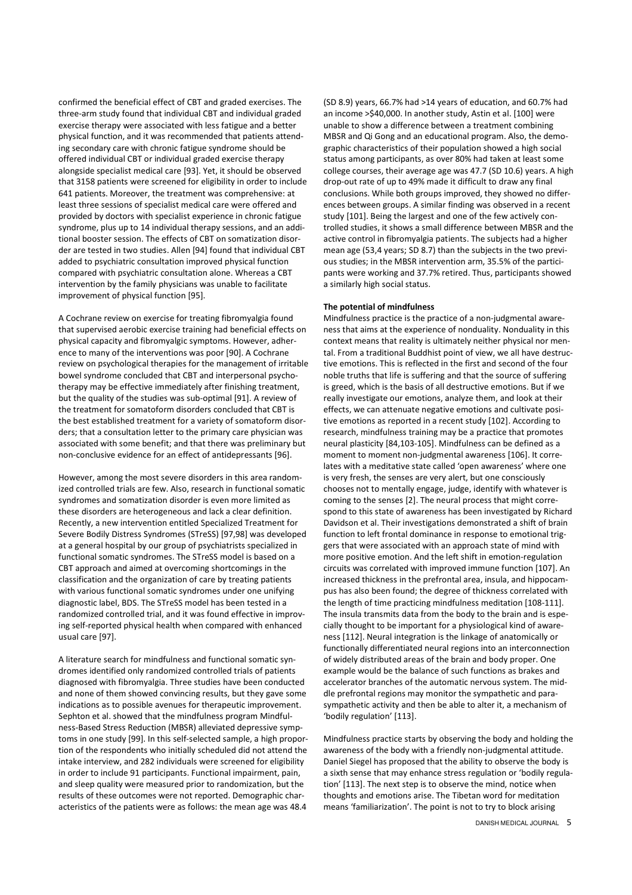confirmed the beneficial effect of CBT and graded exercises. The three-arm study found that individual CBT and individual graded exercise therapy were associated with less fatigue and a better physical function, and it was recommended that patients attending secondary care with chronic fatigue syndrome should be offered individual CBT or individual graded exercise therapy alongside specialist medical care [93]. Yet, it should be observed that 3158 patients were screened for eligibility in order to include 641 patients. Moreover, the treatment was comprehensive: at least three sessions of specialist medical care were offered and provided by doctors with specialist experience in chronic fatigue syndrome, plus up to 14 individual therapy sessions, and an additional booster session. The effects of CBT on somatization disorder are tested in two studies. Allen [94] found that individual CBT added to psychiatric consultation improved physical function compared with psychiatric consultation alone. Whereas a CBT intervention by the family physicians was unable to facilitate improvement of physical function [95].

A Cochrane review on exercise for treating fibromyalgia found that supervised aerobic exercise training had beneficial effects on physical capacity and fibromyalgic symptoms. However, adherence to many of the interventions was poor [90]. A Cochrane review on psychological therapies for the management of irritable bowel syndrome concluded that CBT and interpersonal psychotherapy may be effective immediately after finishing treatment, but the quality of the studies was sub-optimal [91]. A review of the treatment for somatoform disorders concluded that CBT is the best established treatment for a variety of somatoform disorders; that a consultation letter to the primary care physician was associated with some benefit; and that there was preliminary but non-conclusive evidence for an effect of antidepressants [96].

However, among the most severe disorders in this area randomized controlled trials are few. Also, research in functional somatic syndromes and somatization disorder is even more limited as these disorders are heterogeneous and lack a clear definition. Recently, a new intervention entitled Specialized Treatment for Severe Bodily Distress Syndromes (STreSS) [97,98] was developed at a general hospital by our group of psychiatrists specialized in functional somatic syndromes. The STreSS model is based on a CBT approach and aimed at overcoming shortcomings in the classification and the organization of care by treating patients with various functional somatic syndromes under one unifying diagnostic label, BDS. The STreSS model has been tested in a randomized controlled trial, and it was found effective in improving self-reported physical health when compared with enhanced usual care [97].

A literature search for mindfulness and functional somatic syndromes identified only randomized controlled trials of patients diagnosed with fibromyalgia. Three studies have been conducted and none of them showed convincing results, but they gave some indications as to possible avenues for therapeutic improvement. Sephton et al. showed that the mindfulness program Mindfulness-Based Stress Reduction (MBSR) alleviated depressive symptoms in one study [99]. In this self-selected sample, a high proportion of the respondents who initially scheduled did not attend the intake interview, and 282 individuals were screened for eligibility in order to include 91 participants. Functional impairment, pain, and sleep quality were measured prior to randomization, but the results of these outcomes were not reported. Demographic characteristics of the patients were as follows: the mean age was 48.4

(SD 8.9) years, 66.7% had >14 years of education, and 60.7% had an income >\$40,000. In another study, Astin et al. [100] were unable to show a difference between a treatment combining MBSR and Qi Gong and an educational program. Also, the demographic characteristics of their population showed a high social status among participants, as over 80% had taken at least some college courses, their average age was 47.7 (SD 10.6) years. A high drop-out rate of up to 49% made it difficult to draw any final conclusions. While both groups improved, they showed no differences between groups. A similar finding was observed in a recent study [101]. Being the largest and one of the few actively controlled studies, it shows a small difference between MBSR and the active control in fibromyalgia patients. The subjects had a higher mean age (53,4 years; SD 8.7) than the subjects in the two previous studies; in the MBSR intervention arm, 35.5% of the participants were working and 37.7% retired. Thus, participants showed a similarly high social status.

## The potential of mindfulness

Mindfulness practice is the practice of a non-judgmental awareness that aims at the experience of nonduality. Nonduality in this context means that reality is ultimately neither physical nor mental. From a traditional Buddhist point of view, we all have destructive emotions. This is reflected in the first and second of the four noble truths that life is suffering and that the source of suffering is greed, which is the basis of all destructive emotions. But if we really investigate our emotions, analyze them, and look at their effects, we can attenuate negative emotions and cultivate positive emotions as reported in a recent study [102]. According to research, mindfulness training may be a practice that promotes neural plasticity [84,103-105]. Mindfulness can be defined as a moment to moment non-judgmental awareness [106]. It correlates with a meditative state called 'open awareness' where one is very fresh, the senses are very alert, but one consciously chooses not to mentally engage, judge, identify with whatever is coming to the senses [2]. The neural process that might correspond to this state of awareness has been investigated by Richard Davidson et al. Their investigations demonstrated a shift of brain function to left frontal dominance in response to emotional triggers that were associated with an approach state of mind with more positive emotion. And the left shift in emotion-regulation circuits was correlated with improved immune function [107]. An increased thickness in the prefrontal area, insula, and hippocampus has also been found; the degree of thickness correlated with the length of time practicing mindfulness meditation [108-111]. The insula transmits data from the body to the brain and is especially thought to be important for a physiological kind of awareness [112]. Neural integration is the linkage of anatomically or functionally differentiated neural regions into an interconnection of widely distributed areas of the brain and body proper. One example would be the balance of such functions as brakes and accelerator branches of the automatic nervous system. The middle prefrontal regions may monitor the sympathetic and parasympathetic activity and then be able to alter it, a mechanism of 'bodily regulation' [113].

Mindfulness practice starts by observing the body and holding the awareness of the body with a friendly non-judgmental attitude. Daniel Siegel has proposed that the ability to observe the body is a sixth sense that may enhance stress regulation or 'bodily regulation' [113]. The next step is to observe the mind, notice when thoughts and emotions arise. The Tibetan word for meditation means 'familiarization'. The point is not to try to block arising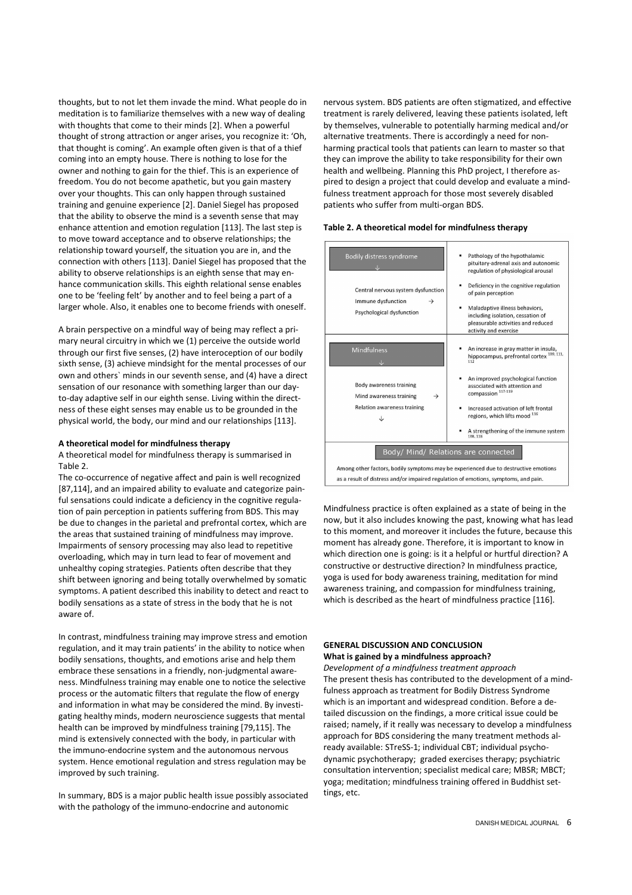thoughts, but to not let them invade the mind. What people do in meditation is to familiarize themselves with a new way of dealing with thoughts that come to their minds [2]. When a powerful thought of strong attraction or anger arises, you recognize it: 'Oh, that thought is coming'. An example often given is that of a thief coming into an empty house. There is nothing to lose for the owner and nothing to gain for the thief. This is an experience of freedom. You do not become apathetic, but you gain mastery over your thoughts. This can only happen through sustained training and genuine experience [2]. Daniel Siegel has proposed that the ability to observe the mind is a seventh sense that may enhance attention and emotion regulation [113]. The last step is to move toward acceptance and to observe relationships; the relationship toward yourself, the situation you are in, and the connection with others [113]. Daniel Siegel has proposed that the ability to observe relationships is an eighth sense that may enhance communication skills. This eighth relational sense enables one to be 'feeling felt' by another and to feel being a part of a larger whole. Also, it enables one to become friends with oneself.

A brain perspective on a mindful way of being may reflect a primary neural circuitry in which we (1) perceive the outside world through our first five senses, (2) have interoception of our bodily sixth sense, (3) achieve mindsight for the mental processes of our own and others` minds in our seventh sense, and (4) have a direct sensation of our resonance with something larger than our dayto-day adaptive self in our eighth sense. Living within the directness of these eight senses may enable us to be grounded in the physical world, the body, our mind and our relationships [113].

#### A theoretical model for mindfulness therapy

A theoretical model for mindfulness therapy is summarised in Table 2.

The co-occurrence of negative affect and pain is well recognized [87,114], and an impaired ability to evaluate and categorize painful sensations could indicate a deficiency in the cognitive regulation of pain perception in patients suffering from BDS. This may be due to changes in the parietal and prefrontal cortex, which are the areas that sustained training of mindfulness may improve. Impairments of sensory processing may also lead to repetitive overloading, which may in turn lead to fear of movement and unhealthy coping strategies. Patients often describe that they shift between ignoring and being totally overwhelmed by somatic symptoms. A patient described this inability to detect and react to bodily sensations as a state of stress in the body that he is not aware of.

In contrast, mindfulness training may improve stress and emotion regulation, and it may train patients' in the ability to notice when bodily sensations, thoughts, and emotions arise and help them embrace these sensations in a friendly, non-judgmental awareness. Mindfulness training may enable one to notice the selective process or the automatic filters that regulate the flow of energy and information in what may be considered the mind. By investigating healthy minds, modern neuroscience suggests that mental health can be improved by mindfulness training [79,115]. The mind is extensively connected with the body, in particular with the immuno-endocrine system and the autonomous nervous system. Hence emotional regulation and stress regulation may be improved by such training.

In summary, BDS is a major public health issue possibly associated with the pathology of the immuno-endocrine and autonomic

nervous system. BDS patients are often stigmatized, and effective treatment is rarely delivered, leaving these patients isolated, left by themselves, vulnerable to potentially harming medical and/or alternative treatments. There is accordingly a need for nonharming practical tools that patients can learn to master so that they can improve the ability to take responsibility for their own health and wellbeing. Planning this PhD project, I therefore aspired to design a project that could develop and evaluate a mindfulness treatment approach for those most severely disabled patients who suffer from multi-organ BDS.

## Table 2. A theoretical model for mindfulness therapy

| Bodily distress syndrome<br>Central nervous system dysfunction<br>Immune dysfunction<br>$\rightarrow$<br>Psychological dysfunction | Pathology of the hypothalamic<br>pituitary-adrenal axis and autonomic<br>regulation of physiological arousal<br>Deficiency in the cognitive regulation<br>of pain perception<br>Maladaptive illness behaviors,<br>٠<br>including isolation, cessation of<br>pleasurable activities and reduced<br>activity and exercise |  |
|------------------------------------------------------------------------------------------------------------------------------------|-------------------------------------------------------------------------------------------------------------------------------------------------------------------------------------------------------------------------------------------------------------------------------------------------------------------------|--|
| <b>Mindfulness</b>                                                                                                                 | An increase in gray matter in insula,<br>hippocampus, prefrontal cortex <sup>109, 111,</sup><br>112                                                                                                                                                                                                                     |  |
| Body awareness training<br>Mind awareness training<br>$\rightarrow$                                                                | An improved psychological function<br>associated with attention and<br>compassion <sup>117-119</sup>                                                                                                                                                                                                                    |  |
| Relation awareness training<br>↓                                                                                                   | Increased activation of left frontal<br>regions, which lifts mood 116                                                                                                                                                                                                                                                   |  |
|                                                                                                                                    | A strengthening of the immune system<br>108.118                                                                                                                                                                                                                                                                         |  |
| Body/ Mind/ Relations are connected                                                                                                |                                                                                                                                                                                                                                                                                                                         |  |
| Among other factors, bodily symptoms may be experienced due to destructive emotions                                                |                                                                                                                                                                                                                                                                                                                         |  |
| as a result of distress and/or impaired regulation of emotions, symptoms, and pain.                                                |                                                                                                                                                                                                                                                                                                                         |  |

Mindfulness practice is often explained as a state of being in the now, but it also includes knowing the past, knowing what has lead to this moment, and moreover it includes the future, because this moment has already gone. Therefore, it is important to know in which direction one is going: is it a helpful or hurtful direction? A constructive or destructive direction? In mindfulness practice, yoga is used for body awareness training, meditation for mind awareness training, and compassion for mindfulness training, which is described as the heart of mindfulness practice [116].

# GENERAL DISCUSSION AND CONCLUSION

# What is gained by a mindfulness approach?

Development of a mindfulness treatment approach The present thesis has contributed to the development of a mindfulness approach as treatment for Bodily Distress Syndrome which is an important and widespread condition. Before a detailed discussion on the findings, a more critical issue could be raised; namely, if it really was necessary to develop a mindfulness approach for BDS considering the many treatment methods already available: STreSS-1; individual CBT; individual psychodynamic psychotherapy; graded exercises therapy; psychiatric consultation intervention; specialist medical care; MBSR; MBCT; yoga; meditation; mindfulness training offered in Buddhist settings, etc.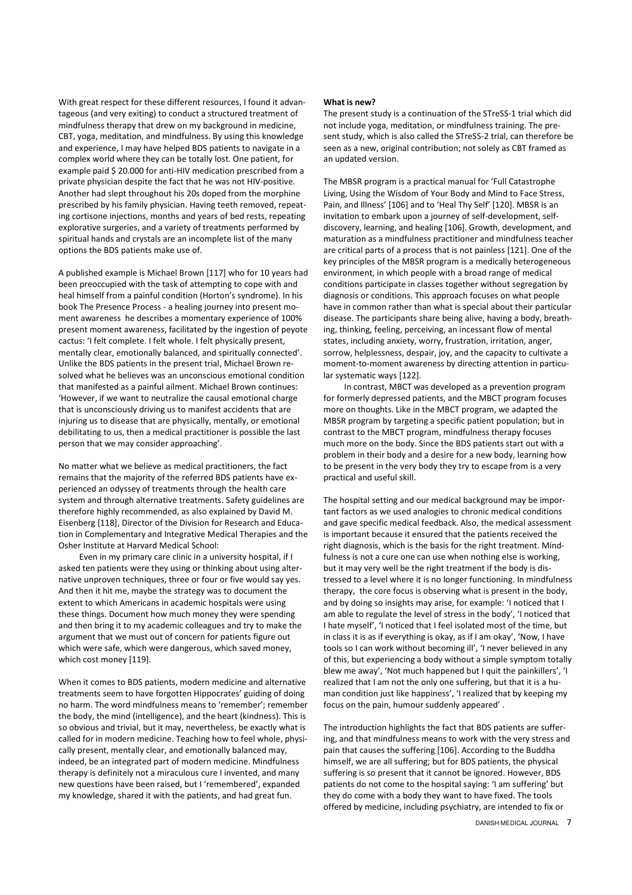With great respect for these different resources. I found it advantageous (and very exiting) to conduct a structured treatment of mindfulness therapy that drew on my background in medicine, CBT, yoga, meditation, and mindfulness. By using this knowledge and experience, I may have helped BDS patients to navigate in a complex world where they can be totally lost. One patient, for example paid \$ 20.000 for anti-HIV medication prescribed from a private physician despite the fact that he was not HIV-positive. Another had slept throughout his 20s doped from the morphine prescribed by his family physician. Having teeth removed, repeating cortisone injections, months and years of bed rests, repeating explorative surgeries, and a variety of treatments performed by spiritual hands and crystals are an incomplete list of the many options the BDS patients make use of.

A published example is Michael Brown [117] who for 10 years had been preoccupied with the task of attempting to cope with and heal himself from a painful condition (Horton's syndrome). In his book The Presence Process - a healing journey into present moment awareness he describes a momentary experience of 100% present moment awareness, facilitated by the ingestion of peyote cactus: 'I felt complete. I felt whole. I felt physically present, mentally clear, emotionally balanced, and spiritually connected'. Unlike the BDS patients in the present trial, Michael Brown resolved what he believes was an unconscious emotional condition that manifested as a painful ailment. Michael Brown continues: 'However, if we want to neutralize the causal emotional charge that is unconsciously driving us to manifest accidents that are injuring us to disease that are physically, mentally, or emotional debilitating to us, then a medical practitioner is possible the last person that we may consider approaching'.

No matter what we believe as medical practitioners, the fact remains that the majority of the referred BDS patients have experienced an odyssey of treatments through the health care system and through alternative treatments. Safety guidelines are therefore highly recommended, as also explained by David M. Eisenberg [118], Director of the Division for Research and Education in Complementary and Integrative Medical Therapies and the Osher Institute at Harvard Medical School:

Even in my primary care clinic in a university hospital, if I asked ten patients were they using or thinking about using alternative unproven techniques, three or four or five would say yes. And then it hit me, maybe the strategy was to document the extent to which Americans in academic hospitals were using these things. Document how much money they were spending and then bring it to my academic colleagues and try to make the argument that we must out of concern for patients figure out which were safe, which were dangerous, which saved money, which cost money [119].

When it comes to BDS patients, modern medicine and alternative treatments seem to have forgotten Hippocrates' guiding of doing no harm. The word mindfulness means to 'remember'; remember the body, the mind (intelligence), and the heart (kindness). This is so obvious and trivial, but it may, nevertheless, be exactly what is called for in modern medicine. Teaching how to feel whole, physically present, mentally clear, and emotionally balanced may, indeed, be an integrated part of modern medicine. Mindfulness therapy is definitely not a miraculous cure I invented, and many new questions have been raised, but I 'remembered', expanded my knowledge, shared it with the patients, and had great fun.

#### What is new?

The present study is a continuation of the STreSS-1 trial which did not include yoga, meditation, or mindfulness training. The present study, which is also called the STreSS-2 trial, can therefore be seen as a new, original contribution; not solely as CBT framed as an updated version.

The MBSR program is a practical manual for 'Full Catastrophe Living, Using the Wisdom of Your Body and Mind to Face Stress, Pain, and Illness' [106] and to 'Heal Thy Self' [120]. MBSR is an invitation to embark upon a journey of self-development, selfdiscovery, learning, and healing [106]. Growth, development, and maturation as a mindfulness practitioner and mindfulness teacher are critical parts of a process that is not painless [121]. One of the key principles of the MBSR program is a medically heterogeneous environment, in which people with a broad range of medical conditions participate in classes together without segregation by diagnosis or conditions. This approach focuses on what people have in common rather than what is special about their particular disease. The participants share being alive, having a body, breathing, thinking, feeling, perceiving, an incessant flow of mental states, including anxiety, worry, frustration, irritation, anger, sorrow, helplessness, despair, joy, and the capacity to cultivate a moment-to-moment awareness by directing attention in particular systematic ways [122].

In contrast, MBCT was developed as a prevention program for formerly depressed patients, and the MBCT program focuses more on thoughts. Like in the MBCT program, we adapted the MBSR program by targeting a specific patient population; but in contrast to the MBCT program, mindfulness therapy focuses much more on the body. Since the BDS patients start out with a problem in their body and a desire for a new body, learning how to be present in the very body they try to escape from is a very practical and useful skill.

The hospital setting and our medical background may be important factors as we used analogies to chronic medical conditions and gave specific medical feedback. Also, the medical assessment is important because it ensured that the patients received the right diagnosis, which is the basis for the right treatment. Mindfulness is not a cure one can use when nothing else is working, but it may very well be the right treatment if the body is distressed to a level where it is no longer functioning. In mindfulness therapy, the core focus is observing what is present in the body, and by doing so insights may arise, for example: 'I noticed that I am able to regulate the level of stress in the body', 'I noticed that I hate myself', 'I noticed that I feel isolated most of the time, but in class it is as if everything is okay, as if I am okay', 'Now, I have tools so I can work without becoming ill', 'I never believed in any of this, but experiencing a body without a simple symptom totally blew me away', 'Not much happened but I quit the painkillers', 'I realized that I am not the only one suffering, but that it is a human condition just like happiness', 'I realized that by keeping my focus on the pain, humour suddenly appeared' .

The introduction highlights the fact that BDS patients are suffering, and that mindfulness means to work with the very stress and pain that causes the suffering [106]. According to the Buddha himself, we are all suffering; but for BDS patients, the physical suffering is so present that it cannot be ignored. However, BDS patients do not come to the hospital saying: 'I am suffering' but they do come with a body they want to have fixed. The tools offered by medicine, including psychiatry, are intended to fix or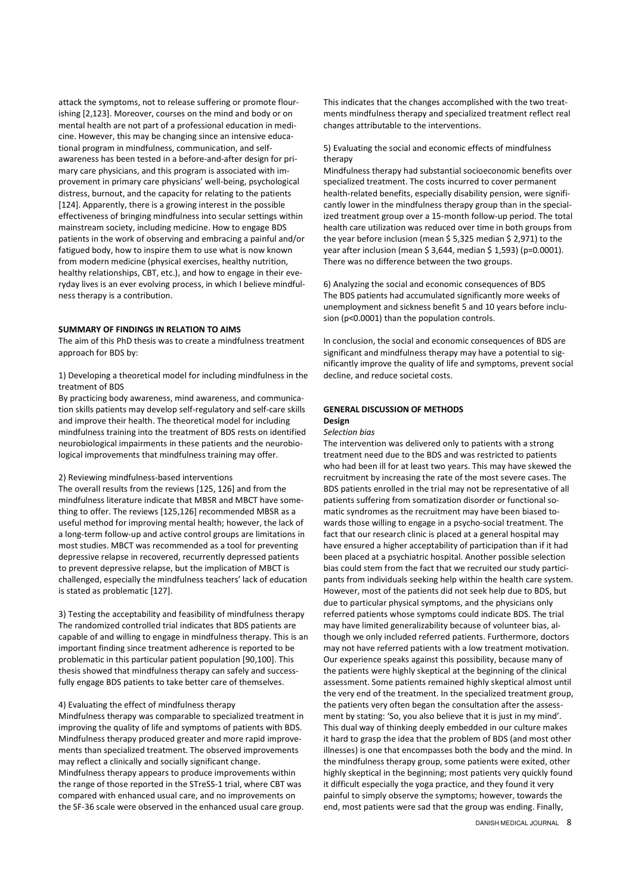attack the symptoms, not to release suffering or promote flourishing [2,123]. Moreover, courses on the mind and body or on mental health are not part of a professional education in medicine. However, this may be changing since an intensive educational program in mindfulness, communication, and selfawareness has been tested in a before-and-after design for primary care physicians, and this program is associated with improvement in primary care physicians' well-being, psychological distress, burnout, and the capacity for relating to the patients [124]. Apparently, there is a growing interest in the possible effectiveness of bringing mindfulness into secular settings within mainstream society, including medicine. How to engage BDS patients in the work of observing and embracing a painful and/or fatigued body, how to inspire them to use what is now known from modern medicine (physical exercises, healthy nutrition, healthy relationships, CBT, etc.), and how to engage in their everyday lives is an ever evolving process, in which I believe mindfulness therapy is a contribution.

## SUMMARY OF FINDINGS IN RELATION TO AIMS

The aim of this PhD thesis was to create a mindfulness treatment approach for BDS by:

1) Developing a theoretical model for including mindfulness in the treatment of BDS

By practicing body awareness, mind awareness, and communication skills patients may develop self-regulatory and self-care skills and improve their health. The theoretical model for including mindfulness training into the treatment of BDS rests on identified neurobiological impairments in these patients and the neurobiological improvements that mindfulness training may offer.

2) Reviewing mindfulness-based interventions

The overall results from the reviews [125, 126] and from the mindfulness literature indicate that MBSR and MBCT have something to offer. The reviews [125,126] recommended MBSR as a useful method for improving mental health; however, the lack of a long-term follow-up and active control groups are limitations in most studies. MBCT was recommended as a tool for preventing depressive relapse in recovered, recurrently depressed patients to prevent depressive relapse, but the implication of MBCT is challenged, especially the mindfulness teachers' lack of education is stated as problematic [127].

3) Testing the acceptability and feasibility of mindfulness therapy The randomized controlled trial indicates that BDS patients are capable of and willing to engage in mindfulness therapy. This is an important finding since treatment adherence is reported to be problematic in this particular patient population [90,100]. This thesis showed that mindfulness therapy can safely and successfully engage BDS patients to take better care of themselves.

## 4) Evaluating the effect of mindfulness therapy

Mindfulness therapy was comparable to specialized treatment in improving the quality of life and symptoms of patients with BDS. Mindfulness therapy produced greater and more rapid improvements than specialized treatment. The observed improvements may reflect a clinically and socially significant change. Mindfulness therapy appears to produce improvements within the range of those reported in the STreSS-1 trial, where CBT was compared with enhanced usual care, and no improvements on the SF-36 scale were observed in the enhanced usual care group. This indicates that the changes accomplished with the two treatments mindfulness therapy and specialized treatment reflect real changes attributable to the interventions.

5) Evaluating the social and economic effects of mindfulness therapy

Mindfulness therapy had substantial socioeconomic benefits over specialized treatment. The costs incurred to cover permanent health-related benefits, especially disability pension, were significantly lower in the mindfulness therapy group than in the specialized treatment group over a 15-month follow-up period. The total health care utilization was reduced over time in both groups from the year before inclusion (mean \$ 5,325 median \$ 2,971) to the year after inclusion (mean \$ 3,644, median \$ 1,593) (p=0.0001). There was no difference between the two groups.

6) Analyzing the social and economic consequences of BDS The BDS patients had accumulated significantly more weeks of unemployment and sickness benefit 5 and 10 years before inclusion (p<0.0001) than the population controls.

In conclusion, the social and economic consequences of BDS are significant and mindfulness therapy may have a potential to significantly improve the quality of life and symptoms, prevent social decline, and reduce societal costs.

# GENERAL DISCUSSION OF METHODS Design

#### Selection bias

The intervention was delivered only to patients with a strong treatment need due to the BDS and was restricted to patients who had been ill for at least two years. This may have skewed the recruitment by increasing the rate of the most severe cases. The BDS patients enrolled in the trial may not be representative of all patients suffering from somatization disorder or functional somatic syndromes as the recruitment may have been biased towards those willing to engage in a psycho-social treatment. The fact that our research clinic is placed at a general hospital may have ensured a higher acceptability of participation than if it had been placed at a psychiatric hospital. Another possible selection bias could stem from the fact that we recruited our study participants from individuals seeking help within the health care system. However, most of the patients did not seek help due to BDS, but due to particular physical symptoms, and the physicians only referred patients whose symptoms could indicate BDS. The trial may have limited generalizability because of volunteer bias, although we only included referred patients. Furthermore, doctors may not have referred patients with a low treatment motivation. Our experience speaks against this possibility, because many of the patients were highly skeptical at the beginning of the clinical assessment. Some patients remained highly skeptical almost until the very end of the treatment. In the specialized treatment group, the patients very often began the consultation after the assessment by stating: 'So, you also believe that it is just in my mind'. This dual way of thinking deeply embedded in our culture makes it hard to grasp the idea that the problem of BDS (and most other illnesses) is one that encompasses both the body and the mind. In the mindfulness therapy group, some patients were exited, other highly skeptical in the beginning; most patients very quickly found it difficult especially the yoga practice, and they found it very painful to simply observe the symptoms; however, towards the end, most patients were sad that the group was ending. Finally,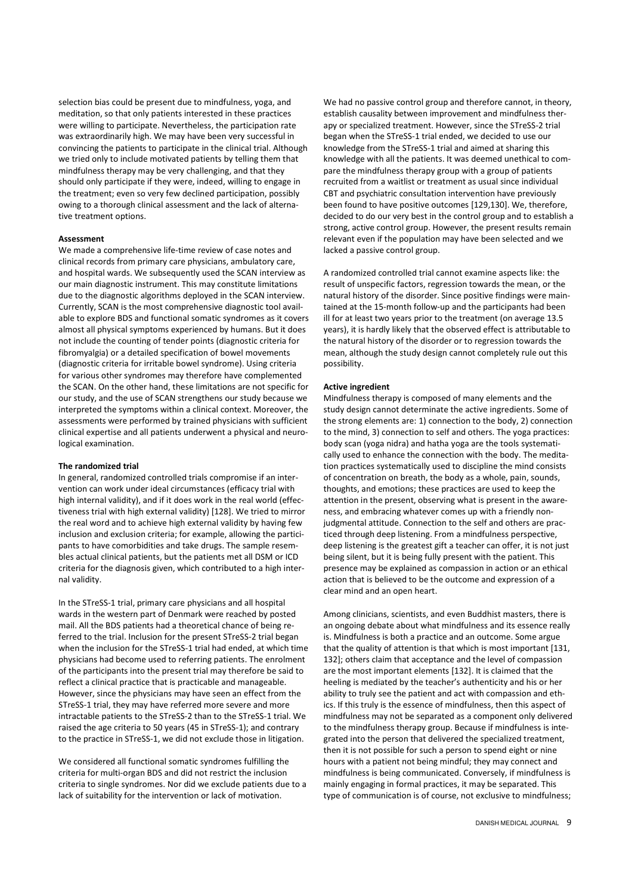selection bias could be present due to mindfulness, yoga, and meditation, so that only patients interested in these practices were willing to participate. Nevertheless, the participation rate was extraordinarily high. We may have been very successful in convincing the patients to participate in the clinical trial. Although we tried only to include motivated patients by telling them that mindfulness therapy may be very challenging, and that they should only participate if they were, indeed, willing to engage in the treatment; even so very few declined participation, possibly owing to a thorough clinical assessment and the lack of alternative treatment options.

#### Assessment

We made a comprehensive life-time review of case notes and clinical records from primary care physicians, ambulatory care, and hospital wards. We subsequently used the SCAN interview as our main diagnostic instrument. This may constitute limitations due to the diagnostic algorithms deployed in the SCAN interview. Currently, SCAN is the most comprehensive diagnostic tool available to explore BDS and functional somatic syndromes as it covers almost all physical symptoms experienced by humans. But it does not include the counting of tender points (diagnostic criteria for fibromyalgia) or a detailed specification of bowel movements (diagnostic criteria for irritable bowel syndrome). Using criteria for various other syndromes may therefore have complemented the SCAN. On the other hand, these limitations are not specific for our study, and the use of SCAN strengthens our study because we interpreted the symptoms within a clinical context. Moreover, the assessments were performed by trained physicians with sufficient clinical expertise and all patients underwent a physical and neurological examination.

#### The randomized trial

In general, randomized controlled trials compromise if an intervention can work under ideal circumstances (efficacy trial with high internal validity), and if it does work in the real world (effectiveness trial with high external validity) [128]. We tried to mirror the real word and to achieve high external validity by having few inclusion and exclusion criteria; for example, allowing the participants to have comorbidities and take drugs. The sample resembles actual clinical patients, but the patients met all DSM or ICD criteria for the diagnosis given, which contributed to a high internal validity.

In the STreSS-1 trial, primary care physicians and all hospital wards in the western part of Denmark were reached by posted mail. All the BDS patients had a theoretical chance of being referred to the trial. Inclusion for the present STreSS-2 trial began when the inclusion for the STreSS-1 trial had ended, at which time physicians had become used to referring patients. The enrolment of the participants into the present trial may therefore be said to reflect a clinical practice that is practicable and manageable. However, since the physicians may have seen an effect from the STreSS-1 trial, they may have referred more severe and more intractable patients to the STreSS-2 than to the STreSS-1 trial. We raised the age criteria to 50 years (45 in STreSS-1); and contrary to the practice in STreSS-1, we did not exclude those in litigation.

We considered all functional somatic syndromes fulfilling the criteria for multi-organ BDS and did not restrict the inclusion criteria to single syndromes. Nor did we exclude patients due to a lack of suitability for the intervention or lack of motivation.

We had no passive control group and therefore cannot, in theory, establish causality between improvement and mindfulness therapy or specialized treatment. However, since the STreSS-2 trial began when the STreSS-1 trial ended, we decided to use our knowledge from the STreSS-1 trial and aimed at sharing this knowledge with all the patients. It was deemed unethical to compare the mindfulness therapy group with a group of patients recruited from a waitlist or treatment as usual since individual CBT and psychiatric consultation intervention have previously been found to have positive outcomes [129,130]. We, therefore, decided to do our very best in the control group and to establish a strong, active control group. However, the present results remain relevant even if the population may have been selected and we lacked a passive control group.

A randomized controlled trial cannot examine aspects like: the result of unspecific factors, regression towards the mean, or the natural history of the disorder. Since positive findings were maintained at the 15-month follow-up and the participants had been ill for at least two years prior to the treatment (on average 13.5 years), it is hardly likely that the observed effect is attributable to the natural history of the disorder or to regression towards the mean, although the study design cannot completely rule out this possibility.

#### Active ingredient

Mindfulness therapy is composed of many elements and the study design cannot determinate the active ingredients. Some of the strong elements are: 1) connection to the body, 2) connection to the mind, 3) connection to self and others. The yoga practices: body scan (yoga nidra) and hatha yoga are the tools systematically used to enhance the connection with the body. The meditation practices systematically used to discipline the mind consists of concentration on breath, the body as a whole, pain, sounds, thoughts, and emotions; these practices are used to keep the attention in the present, observing what is present in the awareness, and embracing whatever comes up with a friendly nonjudgmental attitude. Connection to the self and others are practiced through deep listening. From a mindfulness perspective, deep listening is the greatest gift a teacher can offer, it is not just being silent, but it is being fully present with the patient. This presence may be explained as compassion in action or an ethical action that is believed to be the outcome and expression of a clear mind and an open heart.

Among clinicians, scientists, and even Buddhist masters, there is an ongoing debate about what mindfulness and its essence really is. Mindfulness is both a practice and an outcome. Some argue that the quality of attention is that which is most important [131, 132]; others claim that acceptance and the level of compassion are the most important elements [132]. It is claimed that the heeling is mediated by the teacher's authenticity and his or her ability to truly see the patient and act with compassion and ethics. If this truly is the essence of mindfulness, then this aspect of mindfulness may not be separated as a component only delivered to the mindfulness therapy group. Because if mindfulness is integrated into the person that delivered the specialized treatment, then it is not possible for such a person to spend eight or nine hours with a patient not being mindful; they may connect and mindfulness is being communicated. Conversely, if mindfulness is mainly engaging in formal practices, it may be separated. This type of communication is of course, not exclusive to mindfulness;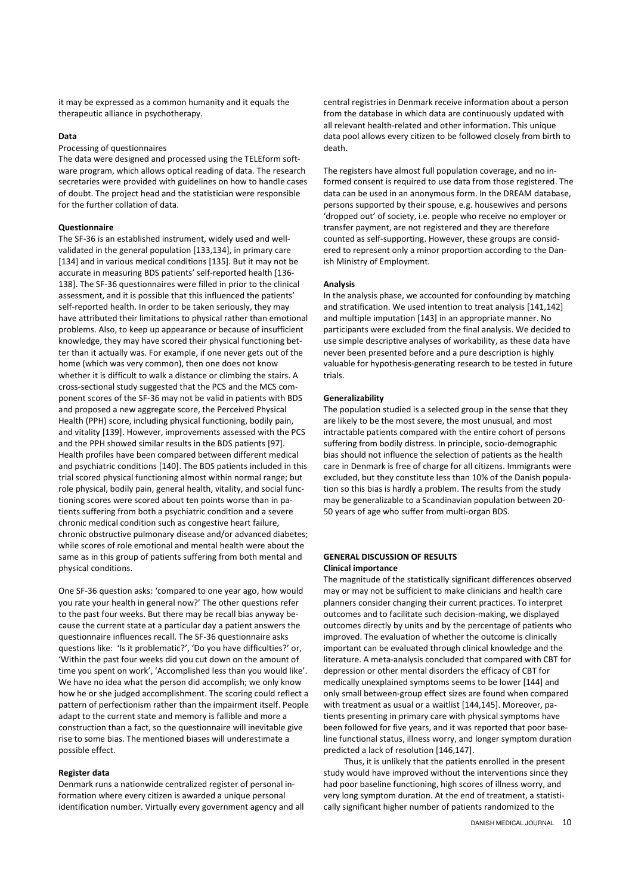it may be expressed as a common humanity and it equals the therapeutic alliance in psychotherapy.

## Data

Processing of questionnaires

The data were designed and processed using the TELEform software program, which allows optical reading of data. The research secretaries were provided with guidelines on how to handle cases of doubt. The project head and the statistician were responsible for the further collation of data.

# Questionnaire

The SF-36 is an established instrument, widely used and wellvalidated in the general population [133,134], in primary care [134] and in various medical conditions [135]. But it may not be accurate in measuring BDS patients' self-reported health [136- 138]. The SF-36 questionnaires were filled in prior to the clinical assessment, and it is possible that this influenced the patients' self-reported health. In order to be taken seriously, they may have attributed their limitations to physical rather than emotional problems. Also, to keep up appearance or because of insufficient knowledge, they may have scored their physical functioning better than it actually was. For example, if one never gets out of the home (which was very common), then one does not know whether it is difficult to walk a distance or climbing the stairs. A cross-sectional study suggested that the PCS and the MCS component scores of the SF-36 may not be valid in patients with BDS and proposed a new aggregate score, the Perceived Physical Health (PPH) score, including physical functioning, bodily pain, and vitality [139]. However, improvements assessed with the PCS and the PPH showed similar results in the BDS patients [97]. Health profiles have been compared between different medical and psychiatric conditions [140]. The BDS patients included in this trial scored physical functioning almost within normal range; but role physical, bodily pain, general health, vitality, and social functioning scores were scored about ten points worse than in patients suffering from both a psychiatric condition and a severe chronic medical condition such as congestive heart failure, chronic obstructive pulmonary disease and/or advanced diabetes; while scores of role emotional and mental health were about the same as in this group of patients suffering from both mental and physical conditions.

One SF-36 question asks: 'compared to one year ago, how would you rate your health in general now?' The other questions refer to the past four weeks. But there may be recall bias anyway because the current state at a particular day a patient answers the questionnaire influences recall. The SF-36 questionnaire asks questions like: 'Is it problematic?', 'Do you have difficulties?' or, 'Within the past four weeks did you cut down on the amount of time you spent on work', 'Accomplished less than you would like'. We have no idea what the person did accomplish; we only know how he or she judged accomplishment. The scoring could reflect a pattern of perfectionism rather than the impairment itself. People adapt to the current state and memory is fallible and more a construction than a fact, so the questionnaire will inevitable give rise to some bias. The mentioned biases will underestimate a possible effect.

## Register data

Denmark runs a nationwide centralized register of personal information where every citizen is awarded a unique personal identification number. Virtually every government agency and all central registries in Denmark receive information about a person from the database in which data are continuously updated with all relevant health-related and other information. This unique data pool allows every citizen to be followed closely from birth to death.

The registers have almost full population coverage, and no informed consent is required to use data from those registered. The data can be used in an anonymous form. In the DREAM database, persons supported by their spouse, e.g. housewives and persons 'dropped out' of society, i.e. people who receive no employer or transfer payment, are not registered and they are therefore counted as self-supporting. However, these groups are considered to represent only a minor proportion according to the Danish Ministry of Employment.

### Analysis

In the analysis phase, we accounted for confounding by matching and stratification. We used intention to treat analysis [141,142] and multiple imputation [143] in an appropriate manner. No participants were excluded from the final analysis. We decided to use simple descriptive analyses of workability, as these data have never been presented before and a pure description is highly valuable for hypothesis-generating research to be tested in future trials.

#### Generalizability

The population studied is a selected group in the sense that they are likely to be the most severe, the most unusual, and most intractable patients compared with the entire cohort of persons suffering from bodily distress. In principle, socio-demographic bias should not influence the selection of patients as the health care in Denmark is free of charge for all citizens. Immigrants were excluded, but they constitute less than 10% of the Danish population so this bias is hardly a problem. The results from the study may be generalizable to a Scandinavian population between 20- 50 years of age who suffer from multi-organ BDS.

## GENERAL DISCUSSION OF RESULTS Clinical importance

The magnitude of the statistically significant differences observed may or may not be sufficient to make clinicians and health care planners consider changing their current practices. To interpret outcomes and to facilitate such decision-making, we displayed outcomes directly by units and by the percentage of patients who improved. The evaluation of whether the outcome is clinically important can be evaluated through clinical knowledge and the literature. A meta-analysis concluded that compared with CBT for depression or other mental disorders the efficacy of CBT for medically unexplained symptoms seems to be lower [144] and only small between-group effect sizes are found when compared with treatment as usual or a waitlist [144,145]. Moreover, patients presenting in primary care with physical symptoms have been followed for five years, and it was reported that poor baseline functional status, illness worry, and longer symptom duration predicted a lack of resolution [146,147].

Thus, it is unlikely that the patients enrolled in the present study would have improved without the interventions since they had poor baseline functioning, high scores of illness worry, and very long symptom duration. At the end of treatment, a statistically significant higher number of patients randomized to the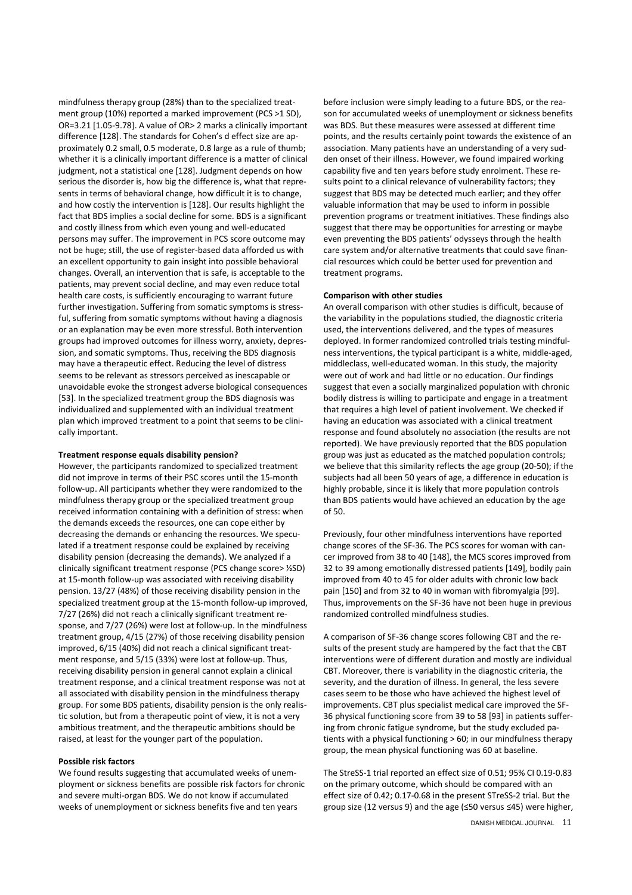mindfulness therapy group (28%) than to the specialized treatment group (10%) reported a marked improvement (PCS >1 SD), OR=3.21 [1.05-9.78]. A value of OR> 2 marks a clinically important difference [128]. The standards for Cohen's d effect size are approximately 0.2 small, 0.5 moderate, 0.8 large as a rule of thumb; whether it is a clinically important difference is a matter of clinical judgment, not a statistical one [128]. Judgment depends on how serious the disorder is, how big the difference is, what that represents in terms of behavioral change, how difficult it is to change, and how costly the intervention is [128]. Our results highlight the fact that BDS implies a social decline for some. BDS is a significant and costly illness from which even young and well-educated persons may suffer. The improvement in PCS score outcome may not be huge; still, the use of register-based data afforded us with an excellent opportunity to gain insight into possible behavioral changes. Overall, an intervention that is safe, is acceptable to the patients, may prevent social decline, and may even reduce total health care costs, is sufficiently encouraging to warrant future further investigation. Suffering from somatic symptoms is stressful, suffering from somatic symptoms without having a diagnosis or an explanation may be even more stressful. Both intervention groups had improved outcomes for illness worry, anxiety, depression, and somatic symptoms. Thus, receiving the BDS diagnosis may have a therapeutic effect. Reducing the level of distress seems to be relevant as stressors perceived as inescapable or unavoidable evoke the strongest adverse biological consequences [53]. In the specialized treatment group the BDS diagnosis was individualized and supplemented with an individual treatment plan which improved treatment to a point that seems to be clinically important.

#### Treatment response equals disability pension?

However, the participants randomized to specialized treatment did not improve in terms of their PSC scores until the 15-month follow-up. All participants whether they were randomized to the mindfulness therapy group or the specialized treatment group received information containing with a definition of stress: when the demands exceeds the resources, one can cope either by decreasing the demands or enhancing the resources. We speculated if a treatment response could be explained by receiving disability pension (decreasing the demands). We analyzed if a clinically significant treatment response (PCS change score> ½SD) at 15-month follow-up was associated with receiving disability pension. 13/27 (48%) of those receiving disability pension in the specialized treatment group at the 15-month follow-up improved, 7/27 (26%) did not reach a clinically significant treatment response, and 7/27 (26%) were lost at follow-up. In the mindfulness treatment group, 4/15 (27%) of those receiving disability pension improved, 6/15 (40%) did not reach a clinical significant treatment response, and 5/15 (33%) were lost at follow-up. Thus, receiving disability pension in general cannot explain a clinical treatment response, and a clinical treatment response was not at all associated with disability pension in the mindfulness therapy group. For some BDS patients, disability pension is the only realistic solution, but from a therapeutic point of view, it is not a very ambitious treatment, and the therapeutic ambitions should be raised, at least for the younger part of the population.

## Possible risk factors

We found results suggesting that accumulated weeks of unemployment or sickness benefits are possible risk factors for chronic and severe multi-organ BDS. We do not know if accumulated weeks of unemployment or sickness benefits five and ten years

before inclusion were simply leading to a future BDS, or the reason for accumulated weeks of unemployment or sickness benefits was BDS. But these measures were assessed at different time points, and the results certainly point towards the existence of an association. Many patients have an understanding of a very sudden onset of their illness. However, we found impaired working capability five and ten years before study enrolment. These results point to a clinical relevance of vulnerability factors; they suggest that BDS may be detected much earlier; and they offer valuable information that may be used to inform in possible prevention programs or treatment initiatives. These findings also suggest that there may be opportunities for arresting or maybe even preventing the BDS patients' odysseys through the health care system and/or alternative treatments that could save financial resources which could be better used for prevention and treatment programs.

## Comparison with other studies

An overall comparison with other studies is difficult, because of the variability in the populations studied, the diagnostic criteria used, the interventions delivered, and the types of measures deployed. In former randomized controlled trials testing mindfulness interventions, the typical participant is a white, middle-aged, middleclass, well-educated woman. In this study, the majority were out of work and had little or no education. Our findings suggest that even a socially marginalized population with chronic bodily distress is willing to participate and engage in a treatment that requires a high level of patient involvement. We checked if having an education was associated with a clinical treatment response and found absolutely no association (the results are not reported). We have previously reported that the BDS population group was just as educated as the matched population controls; we believe that this similarity reflects the age group (20-50); if the subjects had all been 50 years of age, a difference in education is highly probable, since it is likely that more population controls than BDS patients would have achieved an education by the age of 50.

Previously, four other mindfulness interventions have reported change scores of the SF-36. The PCS scores for woman with cancer improved from 38 to 40 [148], the MCS scores improved from 32 to 39 among emotionally distressed patients [149], bodily pain improved from 40 to 45 for older adults with chronic low back pain [150] and from 32 to 40 in woman with fibromyalgia [99]. Thus, improvements on the SF-36 have not been huge in previous randomized controlled mindfulness studies.

A comparison of SF-36 change scores following CBT and the results of the present study are hampered by the fact that the CBT interventions were of different duration and mostly are individual CBT. Moreover, there is variability in the diagnostic criteria, the severity, and the duration of illness. In general, the less severe cases seem to be those who have achieved the highest level of improvements. CBT plus specialist medical care improved the SF-36 physical functioning score from 39 to 58 [93] in patients suffering from chronic fatigue syndrome, but the study excluded patients with a physical functioning > 60; in our mindfulness therapy group, the mean physical functioning was 60 at baseline.

The StreSS-1 trial reported an effect size of 0.51; 95% CI 0.19-0.83 on the primary outcome, which should be compared with an effect size of 0.42; 0.17-0.68 in the present STreSS-2 trial. But the group size (12 versus 9) and the age (≤50 versus ≤45) were higher,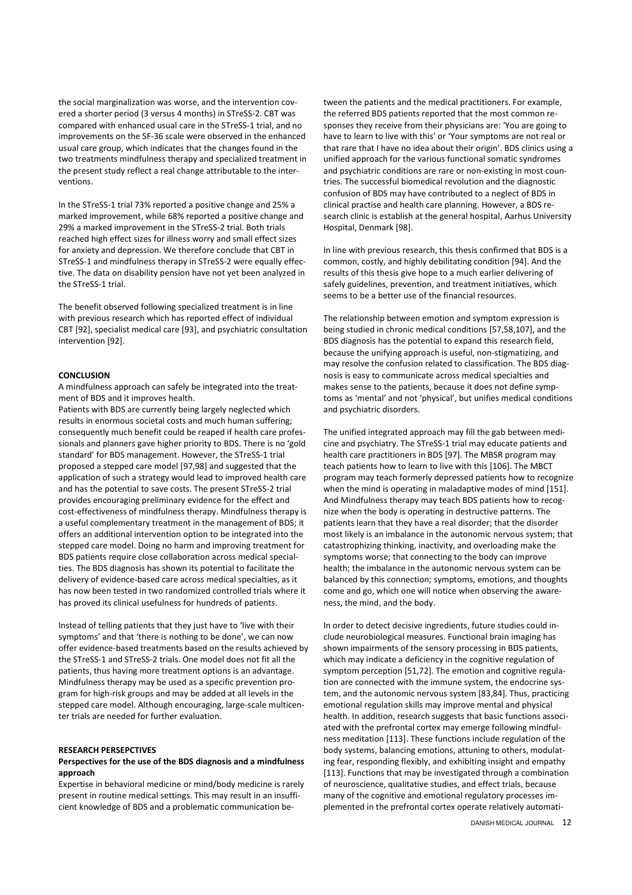the social marginalization was worse, and the intervention covered a shorter period (3 versus 4 months) in STreSS-2. CBT was compared with enhanced usual care in the STreSS-1 trial, and no improvements on the SF-36 scale were observed in the enhanced usual care group, which indicates that the changes found in the two treatments mindfulness therapy and specialized treatment in the present study reflect a real change attributable to the interventions.

In the STreSS-1 trial 73% reported a positive change and 25% a marked improvement, while 68% reported a positive change and 29% a marked improvement in the STreSS-2 trial. Both trials reached high effect sizes for illness worry and small effect sizes for anxiety and depression. We therefore conclude that CBT in STreSS-1 and mindfulness therapy in STreSS-2 were equally effective. The data on disability pension have not yet been analyzed in the STreSS-1 trial.

The benefit observed following specialized treatment is in line with previous research which has reported effect of individual CBT [92], specialist medical care [93], and psychiatric consultation intervention [92].

## **CONCLUSION**

A mindfulness approach can safely be integrated into the treatment of BDS and it improves health.

Patients with BDS are currently being largely neglected which results in enormous societal costs and much human suffering; consequently much benefit could be reaped if health care professionals and planners gave higher priority to BDS. There is no 'gold standard' for BDS management. However, the STreSS-1 trial proposed a stepped care model [97,98] and suggested that the application of such a strategy would lead to improved health care and has the potential to save costs. The present STreSS-2 trial provides encouraging preliminary evidence for the effect and cost-effectiveness of mindfulness therapy. Mindfulness therapy is a useful complementary treatment in the management of BDS; it offers an additional intervention option to be integrated into the stepped care model. Doing no harm and improving treatment for BDS patients require close collaboration across medical specialties. The BDS diagnosis has shown its potential to facilitate the delivery of evidence-based care across medical specialties, as it has now been tested in two randomized controlled trials where it has proved its clinical usefulness for hundreds of patients.

Instead of telling patients that they just have to 'live with their symptoms' and that 'there is nothing to be done', we can now offer evidence-based treatments based on the results achieved by the STreSS-1 and STreSS-2 trials. One model does not fit all the patients, thus having more treatment options is an advantage. Mindfulness therapy may be used as a specific prevention program for high-risk groups and may be added at all levels in the stepped care model. Although encouraging, large-scale multicenter trials are needed for further evaluation.

#### RESEARCH PERSEPCTIVES

## Perspectives for the use of the BDS diagnosis and a mindfulness approach

Expertise in behavioral medicine or mind/body medicine is rarely present in routine medical settings. This may result in an insufficient knowledge of BDS and a problematic communication between the patients and the medical practitioners. For example, the referred BDS patients reported that the most common responses they receive from their physicians are: 'You are going to have to learn to live with this' or 'Your symptoms are not real or that rare that I have no idea about their origin'. BDS clinics using a unified approach for the various functional somatic syndromes and psychiatric conditions are rare or non-existing in most countries. The successful biomedical revolution and the diagnostic confusion of BDS may have contributed to a neglect of BDS in clinical practise and health care planning. However, a BDS research clinic is establish at the general hospital, Aarhus University Hospital, Denmark [98].

In line with previous research, this thesis confirmed that BDS is a common, costly, and highly debilitating condition [94]. And the results of this thesis give hope to a much earlier delivering of safely guidelines, prevention, and treatment initiatives, which seems to be a better use of the financial resources.

The relationship between emotion and symptom expression is being studied in chronic medical conditions [57,58,107], and the BDS diagnosis has the potential to expand this research field, because the unifying approach is useful, non-stigmatizing, and may resolve the confusion related to classification. The BDS diagnosis is easy to communicate across medical specialties and makes sense to the patients, because it does not define symptoms as 'mental' and not 'physical', but unifies medical conditions and psychiatric disorders.

The unified integrated approach may fill the gab between medicine and psychiatry. The STreSS-1 trial may educate patients and health care practitioners in BDS [97]. The MBSR program may teach patients how to learn to live with this [106]. The MBCT program may teach formerly depressed patients how to recognize when the mind is operating in maladaptive modes of mind [151]. And Mindfulness therapy may teach BDS patients how to recognize when the body is operating in destructive patterns. The patients learn that they have a real disorder; that the disorder most likely is an imbalance in the autonomic nervous system; that catastrophizing thinking, inactivity, and overloading make the symptoms worse; that connecting to the body can improve health; the imbalance in the autonomic nervous system can be balanced by this connection; symptoms, emotions, and thoughts come and go, which one will notice when observing the awareness, the mind, and the body.

In order to detect decisive ingredients, future studies could include neurobiological measures. Functional brain imaging has shown impairments of the sensory processing in BDS patients, which may indicate a deficiency in the cognitive regulation of symptom perception [51,72]. The emotion and cognitive regulation are connected with the immune system, the endocrine system, and the autonomic nervous system [83,84]. Thus, practicing emotional regulation skills may improve mental and physical health. In addition, research suggests that basic functions associated with the prefrontal cortex may emerge following mindfulness meditation [113]. These functions include regulation of the body systems, balancing emotions, attuning to others, modulating fear, responding flexibly, and exhibiting insight and empathy [113]. Functions that may be investigated through a combination of neuroscience, qualitative studies, and effect trials, because many of the cognitive and emotional regulatory processes implemented in the prefrontal cortex operate relatively automati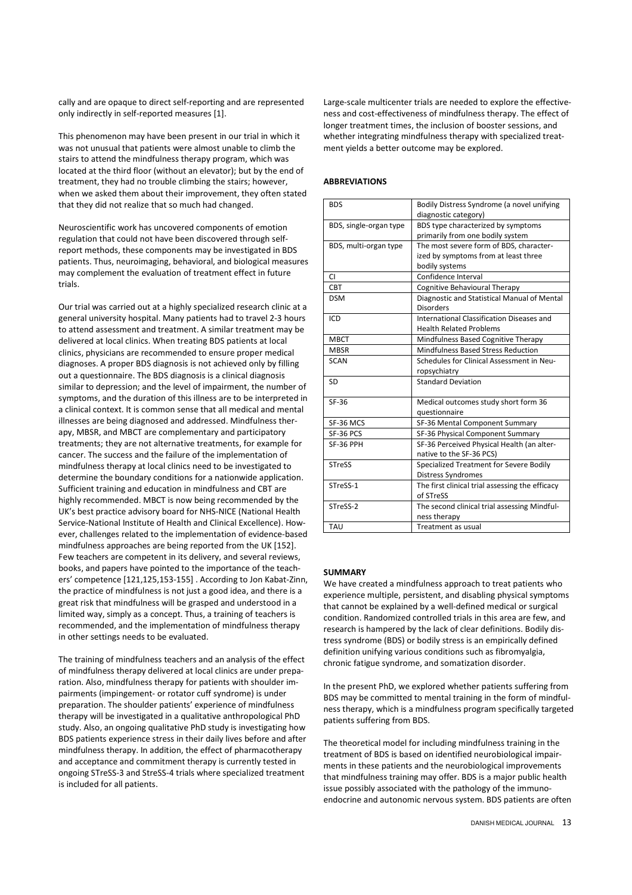cally and are opaque to direct self-reporting and are represented only indirectly in self-reported measures [1].

This phenomenon may have been present in our trial in which it was not unusual that patients were almost unable to climb the stairs to attend the mindfulness therapy program, which was located at the third floor (without an elevator); but by the end of treatment, they had no trouble climbing the stairs; however, when we asked them about their improvement, they often stated that they did not realize that so much had changed.

Neuroscientific work has uncovered components of emotion regulation that could not have been discovered through selfreport methods, these components may be investigated in BDS patients. Thus, neuroimaging, behavioral, and biological measures may complement the evaluation of treatment effect in future trials.

Our trial was carried out at a highly specialized research clinic at a general university hospital. Many patients had to travel 2-3 hours to attend assessment and treatment. A similar treatment may be delivered at local clinics. When treating BDS patients at local clinics, physicians are recommended to ensure proper medical diagnoses. A proper BDS diagnosis is not achieved only by filling out a questionnaire. The BDS diagnosis is a clinical diagnosis similar to depression; and the level of impairment, the number of symptoms, and the duration of this illness are to be interpreted in a clinical context. It is common sense that all medical and mental illnesses are being diagnosed and addressed. Mindfulness therapy, MBSR, and MBCT are complementary and participatory treatments; they are not alternative treatments, for example for cancer. The success and the failure of the implementation of mindfulness therapy at local clinics need to be investigated to determine the boundary conditions for a nationwide application. Sufficient training and education in mindfulness and CBT are highly recommended. MBCT is now being recommended by the UK's best practice advisory board for NHS-NICE (National Health Service-National Institute of Health and Clinical Excellence). However, challenges related to the implementation of evidence-based mindfulness approaches are being reported from the UK [152]. Few teachers are competent in its delivery, and several reviews, books, and papers have pointed to the importance of the teachers' competence [121,125,153-155] . According to Jon Kabat-Zinn, the practice of mindfulness is not just a good idea, and there is a great risk that mindfulness will be grasped and understood in a limited way, simply as a concept. Thus, a training of teachers is recommended, and the implementation of mindfulness therapy in other settings needs to be evaluated.

The training of mindfulness teachers and an analysis of the effect of mindfulness therapy delivered at local clinics are under preparation. Also, mindfulness therapy for patients with shoulder impairments (impingement- or rotator cuff syndrome) is under preparation. The shoulder patients' experience of mindfulness therapy will be investigated in a qualitative anthropological PhD study. Also, an ongoing qualitative PhD study is investigating how BDS patients experience stress in their daily lives before and after mindfulness therapy. In addition, the effect of pharmacotherapy and acceptance and commitment therapy is currently tested in ongoing STreSS-3 and StreSS-4 trials where specialized treatment is included for all patients.

Large-scale multicenter trials are needed to explore the effectiveness and cost-effectiveness of mindfulness therapy. The effect of longer treatment times, the inclusion of booster sessions, and whether integrating mindfulness therapy with specialized treatment yields a better outcome may be explored.

# ABBREVIATIONS

| <b>BDS</b>             | Bodily Distress Syndrome (a novel unifying<br>diagnostic category)                                |
|------------------------|---------------------------------------------------------------------------------------------------|
| BDS, single-organ type | BDS type characterized by symptoms<br>primarily from one bodily system                            |
| BDS, multi-organ type  | The most severe form of BDS, character-<br>ized by symptoms from at least three<br>bodily systems |
| CI                     | Confidence Interval                                                                               |
| <b>CBT</b>             | Cognitive Behavioural Therapy                                                                     |
| <b>DSM</b>             | Diagnostic and Statistical Manual of Mental<br><b>Disorders</b>                                   |
| ICD                    | International Classification Diseases and<br><b>Health Related Problems</b>                       |
| <b>MBCT</b>            | Mindfulness Based Cognitive Therapy                                                               |
| <b>MBSR</b>            | Mindfulness Based Stress Reduction                                                                |
| <b>SCAN</b>            | Schedules for Clinical Assessment in Neu-<br>ropsychiatry                                         |
| SD                     | <b>Standard Deviation</b>                                                                         |
| $SF-36$                | Medical outcomes study short form 36<br>questionnaire                                             |
| SF-36 MCS              | SF-36 Mental Component Summary                                                                    |
| SF-36 PCS              | SF-36 Physical Component Summary                                                                  |
| SF-36 PPH              | SF-36 Perceived Physical Health (an alter-<br>native to the SF-36 PCS)                            |
| <b>STreSS</b>          | Specialized Treatment for Severe Bodily<br>Distress Syndromes                                     |
| STreSS-1               | The first clinical trial assessing the efficacy<br>of STreSS                                      |
| STreSS-2               | The second clinical trial assessing Mindful-<br>ness therapy                                      |
| TAU                    | Treatment as usual                                                                                |

#### **SUMMARY**

We have created a mindfulness approach to treat patients who experience multiple, persistent, and disabling physical symptoms that cannot be explained by a well-defined medical or surgical condition. Randomized controlled trials in this area are few, and research is hampered by the lack of clear definitions. Bodily distress syndrome (BDS) or bodily stress is an empirically defined definition unifying various conditions such as fibromyalgia, chronic fatigue syndrome, and somatization disorder.

In the present PhD, we explored whether patients suffering from BDS may be committed to mental training in the form of mindfulness therapy, which is a mindfulness program specifically targeted patients suffering from BDS.

The theoretical model for including mindfulness training in the treatment of BDS is based on identified neurobiological impairments in these patients and the neurobiological improvements that mindfulness training may offer. BDS is a major public health issue possibly associated with the pathology of the immunoendocrine and autonomic nervous system. BDS patients are often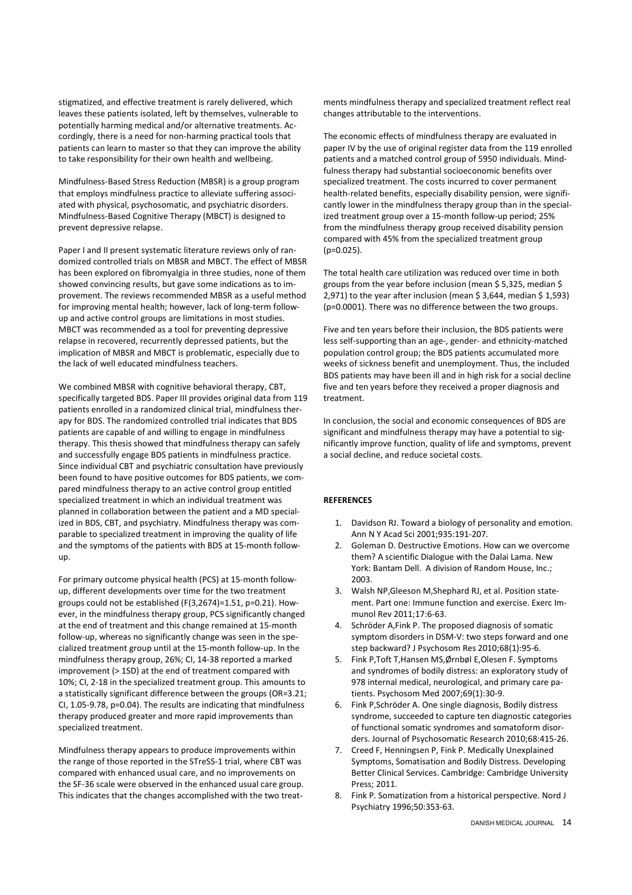stigmatized, and effective treatment is rarely delivered, which leaves these patients isolated, left by themselves, vulnerable to potentially harming medical and/or alternative treatments. Accordingly, there is a need for non-harming practical tools that patients can learn to master so that they can improve the ability to take responsibility for their own health and wellbeing.

Mindfulness-Based Stress Reduction (MBSR) is a group program that employs mindfulness practice to alleviate suffering associated with physical, psychosomatic, and psychiatric disorders. Mindfulness-Based Cognitive Therapy (MBCT) is designed to prevent depressive relapse.

Paper I and II present systematic literature reviews only of randomized controlled trials on MBSR and MBCT. The effect of MBSR has been explored on fibromyalgia in three studies, none of them showed convincing results, but gave some indications as to improvement. The reviews recommended MBSR as a useful method for improving mental health; however, lack of long-term followup and active control groups are limitations in most studies. MBCT was recommended as a tool for preventing depressive relapse in recovered, recurrently depressed patients, but the implication of MBSR and MBCT is problematic, especially due to the lack of well educated mindfulness teachers.

We combined MBSR with cognitive behavioral therapy, CBT, specifically targeted BDS. Paper III provides original data from 119 patients enrolled in a randomized clinical trial, mindfulness therapy for BDS. The randomized controlled trial indicates that BDS patients are capable of and willing to engage in mindfulness therapy. This thesis showed that mindfulness therapy can safely and successfully engage BDS patients in mindfulness practice. Since individual CBT and psychiatric consultation have previously been found to have positive outcomes for BDS patients, we compared mindfulness therapy to an active control group entitled specialized treatment in which an individual treatment was planned in collaboration between the patient and a MD specialized in BDS, CBT, and psychiatry. Mindfulness therapy was comparable to specialized treatment in improving the quality of life and the symptoms of the patients with BDS at 15-month followup.

For primary outcome physical health (PCS) at 15-month followup, different developments over time for the two treatment groups could not be established (F(3,2674)=1.51, p=0.21). However, in the mindfulness therapy group, PCS significantly changed at the end of treatment and this change remained at 15-month follow-up, whereas no significantly change was seen in the specialized treatment group until at the 15-month follow-up. In the mindfulness therapy group, 26%; CI, 14-38 reported a marked improvement (> 1SD) at the end of treatment compared with 10%; CI, 2-18 in the specialized treatment group. This amounts to a statistically significant difference between the groups (OR=3.21; CI, 1.05-9.78, p=0.04). The results are indicating that mindfulness therapy produced greater and more rapid improvements than specialized treatment.

Mindfulness therapy appears to produce improvements within the range of those reported in the STreSS-1 trial, where CBT was compared with enhanced usual care, and no improvements on the SF-36 scale were observed in the enhanced usual care group. This indicates that the changes accomplished with the two treat-

ments mindfulness therapy and specialized treatment reflect real changes attributable to the interventions.

The economic effects of mindfulness therapy are evaluated in paper IV by the use of original register data from the 119 enrolled patients and a matched control group of 5950 individuals. Mindfulness therapy had substantial socioeconomic benefits over specialized treatment. The costs incurred to cover permanent health-related benefits, especially disability pension, were significantly lower in the mindfulness therapy group than in the specialized treatment group over a 15-month follow-up period; 25% from the mindfulness therapy group received disability pension compared with 45% from the specialized treatment group  $(p=0.025)$ .

The total health care utilization was reduced over time in both groups from the year before inclusion (mean \$ 5,325, median \$ 2,971) to the year after inclusion (mean \$ 3,644, median \$ 1,593) (p=0.0001). There was no difference between the two groups.

Five and ten years before their inclusion, the BDS patients were less self-supporting than an age-, gender- and ethnicity-matched population control group; the BDS patients accumulated more weeks of sickness benefit and unemployment. Thus, the included BDS patients may have been ill and in high risk for a social decline five and ten years before they received a proper diagnosis and treatment.

In conclusion, the social and economic consequences of BDS are significant and mindfulness therapy may have a potential to significantly improve function, quality of life and symptoms, prevent a social decline, and reduce societal costs.

## **REFERENCES**

- 1. Davidson RJ. Toward a biology of personality and emotion. Ann N Y Acad Sci 2001;935:191-207.
- 2. Goleman D. Destructive Emotions. How can we overcome them? A scientific Dialogue with the Dalai Lama. New York: Bantam Dell. A division of Random House, Inc.; 2003.
- 3. Walsh NP,Gleeson M,Shephard RJ, et al. Position statement. Part one: Immune function and exercise. Exerc Immunol Rev 2011;17:6-63.
- 4. Schröder A,Fink P. The proposed diagnosis of somatic symptom disorders in DSM-V: two steps forward and one step backward? J Psychosom Res 2010;68(1):95-6.
- 5. Fink P,Toft T,Hansen MS,Ørnbøl E,Olesen F. Symptoms and syndromes of bodily distress: an exploratory study of 978 internal medical, neurological, and primary care patients. Psychosom Med 2007;69(1):30-9.
- 6. Fink P,Schröder A. One single diagnosis, Bodily distress syndrome, succeeded to capture ten diagnostic categories of functional somatic syndromes and somatoform disorders. Journal of Psychosomatic Research 2010;68:415-26.
- 7. Creed F, Henningsen P, Fink P. Medically Unexplained Symptoms, Somatisation and Bodily Distress. Developing Better Clinical Services. Cambridge: Cambridge University Press; 2011.
- 8. Fink P. Somatization from a historical perspective. Nord J Psychiatry 1996;50:353-63.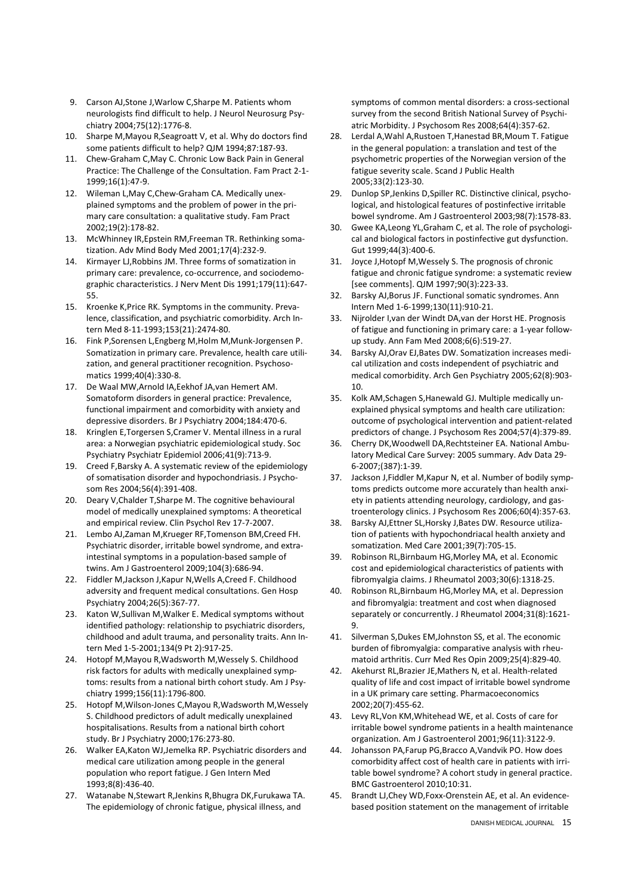- 9. Carson AJ,Stone J,Warlow C,Sharpe M. Patients whom neurologists find difficult to help. J Neurol Neurosurg Psychiatry 2004;75(12):1776-8.
- 10. Sharpe M,Mayou R,Seagroatt V, et al. Why do doctors find some patients difficult to help? QJM 1994;87:187-93.
- 11. Chew-Graham C,May C. Chronic Low Back Pain in General Practice: The Challenge of the Consultation. Fam Pract 2-1- 1999;16(1):47-9.
- 12. Wileman L,May C,Chew-Graham CA. Medically unexplained symptoms and the problem of power in the primary care consultation: a qualitative study. Fam Pract 2002;19(2):178-82.
- 13. McWhinney IR,Epstein RM,Freeman TR. Rethinking somatization. Adv Mind Body Med 2001;17(4):232-9.
- 14. Kirmayer LJ,Robbins JM. Three forms of somatization in primary care: prevalence, co-occurrence, and sociodemographic characteristics. J Nerv Ment Dis 1991;179(11):647- 55.
- 15. Kroenke K,Price RK. Symptoms in the community. Prevalence, classification, and psychiatric comorbidity. Arch Intern Med 8-11-1993;153(21):2474-80.
- 16. Fink P,Sorensen L,Engberg M,Holm M,Munk-Jorgensen P. Somatization in primary care. Prevalence, health care utilization, and general practitioner recognition. Psychosomatics 1999;40(4):330-8.
- 17. De Waal MW,Arnold IA,Eekhof JA,van Hemert AM. Somatoform disorders in general practice: Prevalence, functional impairment and comorbidity with anxiety and depressive disorders. Br J Psychiatry 2004;184:470-6.
- 18. Kringlen E,Torgersen S,Cramer V. Mental illness in a rural area: a Norwegian psychiatric epidemiological study. Soc Psychiatry Psychiatr Epidemiol 2006;41(9):713-9.
- 19. Creed F,Barsky A. A systematic review of the epidemiology of somatisation disorder and hypochondriasis. J Psychosom Res 2004;56(4):391-408.
- 20. Deary V,Chalder T,Sharpe M. The cognitive behavioural model of medically unexplained symptoms: A theoretical and empirical review. Clin Psychol Rev 17-7-2007.
- 21. Lembo AJ,Zaman M,Krueger RF,Tomenson BM,Creed FH. Psychiatric disorder, irritable bowel syndrome, and extraintestinal symptoms in a population-based sample of twins. Am J Gastroenterol 2009;104(3):686-94.
- 22. Fiddler M,Jackson J,Kapur N,Wells A,Creed F. Childhood adversity and frequent medical consultations. Gen Hosp Psychiatry 2004;26(5):367-77.
- 23. Katon W,Sullivan M,Walker E. Medical symptoms without identified pathology: relationship to psychiatric disorders, childhood and adult trauma, and personality traits. Ann Intern Med 1-5-2001;134(9 Pt 2):917-25.
- 24. Hotopf M,Mayou R,Wadsworth M,Wessely S. Childhood risk factors for adults with medically unexplained symptoms: results from a national birth cohort study. Am J Psychiatry 1999;156(11):1796-800.
- 25. Hotopf M,Wilson-Jones C,Mayou R,Wadsworth M,Wessely S. Childhood predictors of adult medically unexplained hospitalisations. Results from a national birth cohort study. Br J Psychiatry 2000;176:273-80.
- 26. Walker EA,Katon WJ,Jemelka RP. Psychiatric disorders and medical care utilization among people in the general population who report fatigue. J Gen Intern Med 1993;8(8):436-40.
- 27. Watanabe N,Stewart R,Jenkins R,Bhugra DK,Furukawa TA. The epidemiology of chronic fatigue, physical illness, and

symptoms of common mental disorders: a cross-sectional survey from the second British National Survey of Psychiatric Morbidity. J Psychosom Res 2008;64(4):357-62.

- 28. Lerdal A,Wahl A,Rustoen T,Hanestad BR,Moum T. Fatigue in the general population: a translation and test of the psychometric properties of the Norwegian version of the fatigue severity scale. Scand J Public Health 2005;33(2):123-30.
- 29. Dunlop SP,Jenkins D,Spiller RC. Distinctive clinical, psychological, and histological features of postinfective irritable bowel syndrome. Am J Gastroenterol 2003;98(7):1578-83.
- 30. Gwee KA,Leong YL,Graham C, et al. The role of psychological and biological factors in postinfective gut dysfunction. Gut 1999;44(3):400-6.
- 31. Joyce J,Hotopf M,Wessely S. The prognosis of chronic fatigue and chronic fatigue syndrome: a systematic review [see comments]. QJM 1997;90(3):223-33.
- 32. Barsky AJ,Borus JF. Functional somatic syndromes. Ann Intern Med 1-6-1999;130(11):910-21.
- 33. Nijrolder I,van der Windt DA,van der Horst HE. Prognosis of fatigue and functioning in primary care: a 1-year followup study. Ann Fam Med 2008;6(6):519-27.
- 34. Barsky AJ,Orav EJ,Bates DW. Somatization increases medical utilization and costs independent of psychiatric and medical comorbidity. Arch Gen Psychiatry 2005;62(8):903- 10.
- 35. Kolk AM,Schagen S,Hanewald GJ. Multiple medically unexplained physical symptoms and health care utilization: outcome of psychological intervention and patient-related predictors of change. J Psychosom Res 2004;57(4):379-89.
- 36. Cherry DK,Woodwell DA,Rechtsteiner EA. National Ambulatory Medical Care Survey: 2005 summary. Adv Data 29- 6-2007;(387):1-39.
- 37. Jackson J,Fiddler M,Kapur N, et al. Number of bodily symptoms predicts outcome more accurately than health anxiety in patients attending neurology, cardiology, and gastroenterology clinics. J Psychosom Res 2006;60(4):357-63.
- 38. Barsky AJ,Ettner SL,Horsky J,Bates DW. Resource utilization of patients with hypochondriacal health anxiety and somatization. Med Care 2001;39(7):705-15.
- 39. Robinson RL,Birnbaum HG,Morley MA, et al. Economic cost and epidemiological characteristics of patients with fibromyalgia claims. J Rheumatol 2003;30(6):1318-25.
- 40. Robinson RL,Birnbaum HG,Morley MA, et al. Depression and fibromyalgia: treatment and cost when diagnosed separately or concurrently. J Rheumatol 2004;31(8):1621- 9.
- 41. Silverman S,Dukes EM,Johnston SS, et al. The economic burden of fibromyalgia: comparative analysis with rheumatoid arthritis. Curr Med Res Opin 2009;25(4):829-40.
- 42. Akehurst RL,Brazier JE,Mathers N, et al. Health-related quality of life and cost impact of irritable bowel syndrome in a UK primary care setting. Pharmacoeconomics 2002;20(7):455-62.
- 43. Levy RL,Von KM,Whitehead WE, et al. Costs of care for irritable bowel syndrome patients in a health maintenance organization. Am J Gastroenterol 2001;96(11):3122-9.
- 44. Johansson PA,Farup PG,Bracco A,Vandvik PO. How does comorbidity affect cost of health care in patients with irritable bowel syndrome? A cohort study in general practice. BMC Gastroenterol 2010;10:31.
- 45. Brandt LJ,Chey WD,Foxx-Orenstein AE, et al. An evidencebased position statement on the management of irritable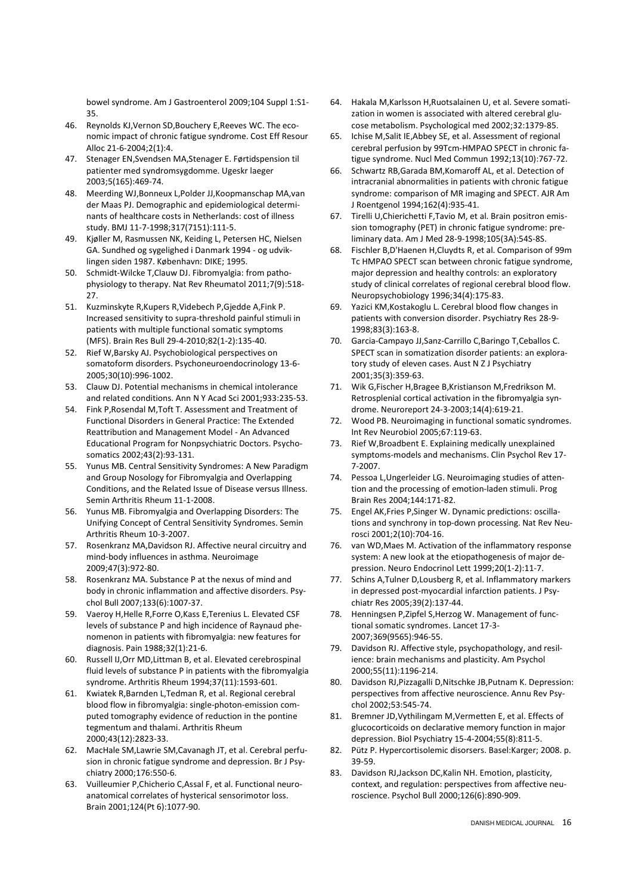bowel syndrome. Am J Gastroenterol 2009;104 Suppl 1:S1- 35.

- 46. Reynolds KJ,Vernon SD,Bouchery E,Reeves WC. The economic impact of chronic fatigue syndrome. Cost Eff Resour Alloc 21-6-2004;2(1):4.
- 47. Stenager EN,Svendsen MA,Stenager E. Førtidspension til patienter med syndromsygdomme. Ugeskr laeger 2003;5(165):469-74.
- 48. Meerding WJ,Bonneux L,Polder JJ,Koopmanschap MA,van der Maas PJ. Demographic and epidemiological determinants of healthcare costs in Netherlands: cost of illness study. BMJ 11-7-1998;317(7151):111-5.
- 49. Kjøller M, Rasmussen NK, Keiding L, Petersen HC, Nielsen GA. Sundhed og sygelighed i Danmark 1994 - og udviklingen siden 1987. København: DIKE; 1995.
- 50. Schmidt-Wilcke T,Clauw DJ. Fibromyalgia: from pathophysiology to therapy. Nat Rev Rheumatol 2011;7(9):518- 27.
- 51. Kuzminskyte R,Kupers R,Videbech P,Gjedde A,Fink P. Increased sensitivity to supra-threshold painful stimuli in patients with multiple functional somatic symptoms (MFS). Brain Res Bull 29-4-2010;82(1-2):135-40.
- 52. Rief W,Barsky AJ. Psychobiological perspectives on somatoform disorders. Psychoneuroendocrinology 13-6- 2005;30(10):996-1002.
- 53. Clauw DJ. Potential mechanisms in chemical intolerance and related conditions. Ann N Y Acad Sci 2001;933:235-53.
- 54. Fink P,Rosendal M,Toft T. Assessment and Treatment of Functional Disorders in General Practice: The Extended Reattribution and Management Model - An Advanced Educational Program for Nonpsychiatric Doctors. Psychosomatics 2002;43(2):93-131.
- 55. Yunus MB. Central Sensitivity Syndromes: A New Paradigm and Group Nosology for Fibromyalgia and Overlapping Conditions, and the Related Issue of Disease versus Illness. Semin Arthritis Rheum 11-1-2008.
- 56. Yunus MB. Fibromyalgia and Overlapping Disorders: The Unifying Concept of Central Sensitivity Syndromes. Semin Arthritis Rheum 10-3-2007.
- 57. Rosenkranz MA,Davidson RJ. Affective neural circuitry and mind-body influences in asthma. Neuroimage 2009;47(3):972-80.
- 58. Rosenkranz MA. Substance P at the nexus of mind and body in chronic inflammation and affective disorders. Psychol Bull 2007;133(6):1007-37.
- 59. Vaeroy H,Helle R,Forre O,Kass E,Terenius L. Elevated CSF levels of substance P and high incidence of Raynaud phenomenon in patients with fibromyalgia: new features for diagnosis. Pain 1988;32(1):21-6.
- 60. Russell IJ,Orr MD,Littman B, et al. Elevated cerebrospinal fluid levels of substance P in patients with the fibromyalgia syndrome. Arthritis Rheum 1994;37(11):1593-601.
- 61. Kwiatek R,Barnden L,Tedman R, et al. Regional cerebral blood flow in fibromyalgia: single-photon-emission computed tomography evidence of reduction in the pontine tegmentum and thalami. Arthritis Rheum 2000;43(12):2823-33.
- 62. MacHale SM,Lawrie SM,Cavanagh JT, et al. Cerebral perfusion in chronic fatigue syndrome and depression. Br J Psychiatry 2000;176:550-6.
- 63. Vuilleumier P,Chicherio C,Assal F, et al. Functional neuroanatomical correlates of hysterical sensorimotor loss. Brain 2001;124(Pt 6):1077-90.
- 64. Hakala M,Karlsson H,Ruotsalainen U, et al. Severe somatization in women is associated with altered cerebral glucose metabolism. Psychological med 2002;32:1379-85.
- 65. Ichise M,Salit IE,Abbey SE, et al. Assessment of regional cerebral perfusion by 99Tcm-HMPAO SPECT in chronic fatigue syndrome. Nucl Med Commun 1992;13(10):767-72.
- 66. Schwartz RB,Garada BM,Komaroff AL, et al. Detection of intracranial abnormalities in patients with chronic fatigue syndrome: comparison of MR imaging and SPECT. AJR Am J Roentgenol 1994;162(4):935-41.
- 67. Tirelli U,Chierichetti F,Tavio M, et al. Brain positron emission tomography (PET) in chronic fatigue syndrome: preliminary data. Am J Med 28-9-1998;105(3A):54S-8S.
- 68. Fischler B,D'Haenen H,Cluydts R, et al. Comparison of 99m Tc HMPAO SPECT scan between chronic fatigue syndrome, major depression and healthy controls: an exploratory study of clinical correlates of regional cerebral blood flow. Neuropsychobiology 1996;34(4):175-83.
- 69. Yazici KM,Kostakoglu L. Cerebral blood flow changes in patients with conversion disorder. Psychiatry Res 28-9- 1998;83(3):163-8.
- 70. Garcia-Campayo JJ,Sanz-Carrillo C,Baringo T,Ceballos C. SPECT scan in somatization disorder patients: an exploratory study of eleven cases. Aust N Z J Psychiatry 2001;35(3):359-63.
- 71. Wik G,Fischer H,Bragee B,Kristianson M,Fredrikson M. Retrosplenial cortical activation in the fibromyalgia syndrome. Neuroreport 24-3-2003;14(4):619-21.
- 72. Wood PB. Neuroimaging in functional somatic syndromes. Int Rev Neurobiol 2005;67:119-63.
- 73. Rief W,Broadbent E. Explaining medically unexplained symptoms-models and mechanisms. Clin Psychol Rev 17- 7-2007.
- 74. Pessoa L,Ungerleider LG. Neuroimaging studies of attention and the processing of emotion-laden stimuli. Prog Brain Res 2004;144:171-82.
- 75. Engel AK,Fries P,Singer W. Dynamic predictions: oscillations and synchrony in top-down processing. Nat Rev Neurosci 2001;2(10):704-16.
- 76. van WD,Maes M. Activation of the inflammatory response system: A new look at the etiopathogenesis of major depression. Neuro Endocrinol Lett 1999;20(1-2):11-7.
- 77. Schins A,Tulner D,Lousberg R, et al. Inflammatory markers in depressed post-myocardial infarction patients. J Psychiatr Res 2005;39(2):137-44.
- 78. Henningsen P,Zipfel S,Herzog W. Management of functional somatic syndromes. Lancet 17-3- 2007;369(9565):946-55.
- 79. Davidson RJ. Affective style, psychopathology, and resilience: brain mechanisms and plasticity. Am Psychol 2000;55(11):1196-214.
- 80. Davidson RJ,Pizzagalli D,Nitschke JB,Putnam K. Depression: perspectives from affective neuroscience. Annu Rev Psychol 2002;53:545-74.
- 81. Bremner JD,Vythilingam M,Vermetten E, et al. Effects of glucocorticoids on declarative memory function in major depression. Biol Psychiatry 15-4-2004;55(8):811-5.
- 82. Pütz P. Hypercortisolemic disorsers. Basel:Karger; 2008. p. 39-59.
- 83. Davidson RJ,Jackson DC,Kalin NH. Emotion, plasticity, context, and regulation: perspectives from affective neuroscience. Psychol Bull 2000;126(6):890-909.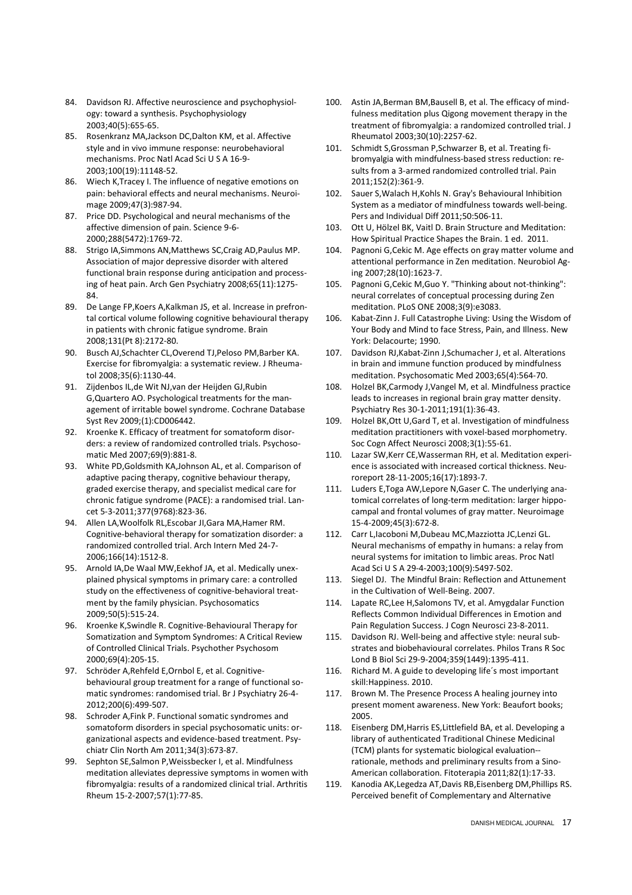- 84. Davidson RJ. Affective neuroscience and psychophysiology: toward a synthesis. Psychophysiology 2003;40(5):655-65.
- 85. Rosenkranz MA,Jackson DC,Dalton KM, et al. Affective style and in vivo immune response: neurobehavioral mechanisms. Proc Natl Acad Sci U S A 16-9- 2003;100(19):11148-52.
- 86. Wiech K,Tracey I. The influence of negative emotions on pain: behavioral effects and neural mechanisms. Neuroimage 2009;47(3):987-94.
- 87. Price DD. Psychological and neural mechanisms of the affective dimension of pain. Science 9-6- 2000;288(5472):1769-72.
- 88. Strigo IA,Simmons AN,Matthews SC,Craig AD,Paulus MP. Association of major depressive disorder with altered functional brain response during anticipation and processing of heat pain. Arch Gen Psychiatry 2008;65(11):1275- 84.
- 89. De Lange FP,Koers A,Kalkman JS, et al. Increase in prefrontal cortical volume following cognitive behavioural therapy in patients with chronic fatigue syndrome. Brain 2008;131(Pt 8):2172-80.
- 90. Busch AJ,Schachter CL,Overend TJ,Peloso PM,Barber KA. Exercise for fibromyalgia: a systematic review. J Rheumatol 2008;35(6):1130-44.
- 91. Zijdenbos IL,de Wit NJ,van der Heijden GJ,Rubin G,Quartero AO. Psychological treatments for the management of irritable bowel syndrome. Cochrane Database Syst Rev 2009;(1):CD006442.
- 92. Kroenke K. Efficacy of treatment for somatoform disorders: a review of randomized controlled trials. Psychosomatic Med 2007;69(9):881-8.
- 93. White PD,Goldsmith KA,Johnson AL, et al. Comparison of adaptive pacing therapy, cognitive behaviour therapy, graded exercise therapy, and specialist medical care for chronic fatigue syndrome (PACE): a randomised trial. Lancet 5-3-2011;377(9768):823-36.
- 94. Allen LA,Woolfolk RL,Escobar JI,Gara MA,Hamer RM. Cognitive-behavioral therapy for somatization disorder: a randomized controlled trial. Arch Intern Med 24-7- 2006;166(14):1512-8.
- 95. Arnold IA,De Waal MW,Eekhof JA, et al. Medically unexplained physical symptoms in primary care: a controlled study on the effectiveness of cognitive-behavioral treatment by the family physician. Psychosomatics 2009;50(5):515-24.
- 96. Kroenke K,Swindle R. Cognitive-Behavioural Therapy for Somatization and Symptom Syndromes: A Critical Review of Controlled Clinical Trials. Psychother Psychosom 2000;69(4):205-15.
- 97. Schröder A,Rehfeld E,Ornbol E, et al. Cognitivebehavioural group treatment for a range of functional somatic syndromes: randomised trial. Br J Psychiatry 26-4- 2012;200(6):499-507.
- 98. Schroder A,Fink P. Functional somatic syndromes and somatoform disorders in special psychosomatic units: organizational aspects and evidence-based treatment. Psychiatr Clin North Am 2011;34(3):673-87.
- 99. Sephton SE,Salmon P,Weissbecker I, et al. Mindfulness meditation alleviates depressive symptoms in women with fibromyalgia: results of a randomized clinical trial. Arthritis Rheum 15-2-2007;57(1):77-85.
- 100. Astin JA,Berman BM,Bausell B, et al. The efficacy of mindfulness meditation plus Qigong movement therapy in the treatment of fibromyalgia: a randomized controlled trial. J Rheumatol 2003;30(10):2257-62.
- 101. Schmidt S,Grossman P,Schwarzer B, et al. Treating fibromyalgia with mindfulness-based stress reduction: results from a 3-armed randomized controlled trial. Pain 2011;152(2):361-9.
- 102. Sauer S,Walach H,Kohls N. Gray's Behavioural Inhibition System as a mediator of mindfulness towards well-being. Pers and Individual Diff 2011;50:506-11.
- 103. Ott U, Hölzel BK, Vaitl D. Brain Structure and Meditation: How Spiritual Practice Shapes the Brain. 1 ed. 2011.
- 104. Pagnoni G,Cekic M. Age effects on gray matter volume and attentional performance in Zen meditation. Neurobiol Aging 2007;28(10):1623-7.
- 105. Pagnoni G,Cekic M,Guo Y. "Thinking about not-thinking": neural correlates of conceptual processing during Zen meditation. PLoS ONE 2008;3(9):e3083.
- 106. Kabat-Zinn J. Full Catastrophe Living: Using the Wisdom of Your Body and Mind to face Stress, Pain, and Illness. New York: Delacourte; 1990.
- 107. Davidson RJ,Kabat-Zinn J,Schumacher J, et al. Alterations in brain and immune function produced by mindfulness meditation. Psychosomatic Med 2003;65(4):564-70.
- 108. Holzel BK,Carmody J,Vangel M, et al. Mindfulness practice leads to increases in regional brain gray matter density. Psychiatry Res 30-1-2011;191(1):36-43.
- 109. Holzel BK,Ott U,Gard T, et al. Investigation of mindfulness meditation practitioners with voxel-based morphometry. Soc Cogn Affect Neurosci 2008;3(1):55-61.
- 110. Lazar SW,Kerr CE,Wasserman RH, et al. Meditation experience is associated with increased cortical thickness. Neuroreport 28-11-2005;16(17):1893-7.
- 111. Luders E,Toga AW,Lepore N,Gaser C. The underlying anatomical correlates of long-term meditation: larger hippocampal and frontal volumes of gray matter. Neuroimage 15-4-2009;45(3):672-8.
- 112. Carr L,Iacoboni M,Dubeau MC,Mazziotta JC,Lenzi GL. Neural mechanisms of empathy in humans: a relay from neural systems for imitation to limbic areas. Proc Natl Acad Sci U S A 29-4-2003;100(9):5497-502.
- 113. Siegel DJ. The Mindful Brain: Reflection and Attunement in the Cultivation of Well-Being. 2007.
- 114. Lapate RC,Lee H,Salomons TV, et al. Amygdalar Function Reflects Common Individual Differences in Emotion and Pain Regulation Success. J Cogn Neurosci 23-8-2011.
- 115. Davidson RJ. Well-being and affective style: neural substrates and biobehavioural correlates. Philos Trans R Soc Lond B Biol Sci 29-9-2004;359(1449):1395-411.
- 116. Richard M. A guide to developing life´s most important skill:Happiness. 2010.
- 117. Brown M. The Presence Process A healing journey into present moment awareness. New York: Beaufort books; 2005.
- 118. Eisenberg DM,Harris ES,Littlefield BA, et al. Developing a library of authenticated Traditional Chinese Medicinal (TCM) plants for systematic biological evaluation- rationale, methods and preliminary results from a Sino-American collaboration. Fitoterapia 2011;82(1):17-33.
- 119. Kanodia AK,Legedza AT,Davis RB,Eisenberg DM,Phillips RS. Perceived benefit of Complementary and Alternative